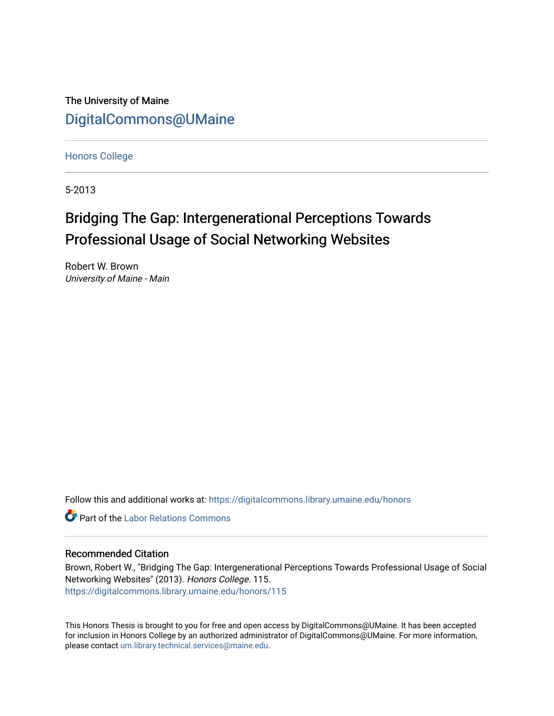The University of Maine [DigitalCommons@UMaine](https://digitalcommons.library.umaine.edu/)

[Honors College](https://digitalcommons.library.umaine.edu/honors)

5-2013

# Bridging The Gap: Intergenerational Perceptions Towards Professional Usage of Social Networking Websites

Robert W. Brown University of Maine - Main

Follow this and additional works at: [https://digitalcommons.library.umaine.edu/honors](https://digitalcommons.library.umaine.edu/honors?utm_source=digitalcommons.library.umaine.edu%2Fhonors%2F115&utm_medium=PDF&utm_campaign=PDFCoverPages) 

**C** Part of the [Labor Relations Commons](http://network.bepress.com/hgg/discipline/635?utm_source=digitalcommons.library.umaine.edu%2Fhonors%2F115&utm_medium=PDF&utm_campaign=PDFCoverPages)

# Recommended Citation

Brown, Robert W., "Bridging The Gap: Intergenerational Perceptions Towards Professional Usage of Social Networking Websites" (2013). Honors College. 115. [https://digitalcommons.library.umaine.edu/honors/115](https://digitalcommons.library.umaine.edu/honors/115?utm_source=digitalcommons.library.umaine.edu%2Fhonors%2F115&utm_medium=PDF&utm_campaign=PDFCoverPages) 

This Honors Thesis is brought to you for free and open access by DigitalCommons@UMaine. It has been accepted for inclusion in Honors College by an authorized administrator of DigitalCommons@UMaine. For more information, please contact [um.library.technical.services@maine.edu.](mailto:um.library.technical.services@maine.edu)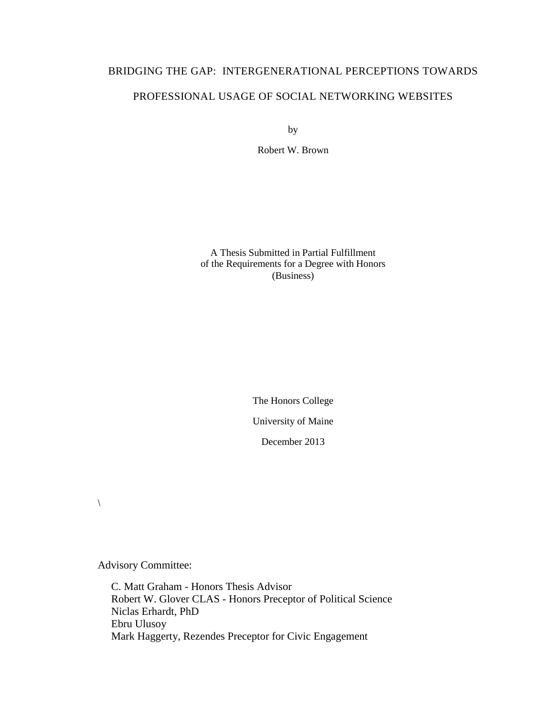# BRIDGING THE GAP: INTERGENERATIONAL PERCEPTIONS TOWARDS PROFESSIONAL USAGE OF SOCIAL NETWORKING WEBSITES

by

Robert W. Brown

A Thesis Submitted in Partial Fulfillment of the Requirements for a Degree with Honors (Business)

> The Honors College University of Maine

> > December 2013

 $\setminus$ 

Advisory Committee:

 C. Matt Graham - Honors Thesis Advisor Robert W. Glover CLAS - Honors Preceptor of Political Science Niclas Erhardt, PhD Ebru Ulusoy Mark Haggerty, Rezendes Preceptor for Civic Engagement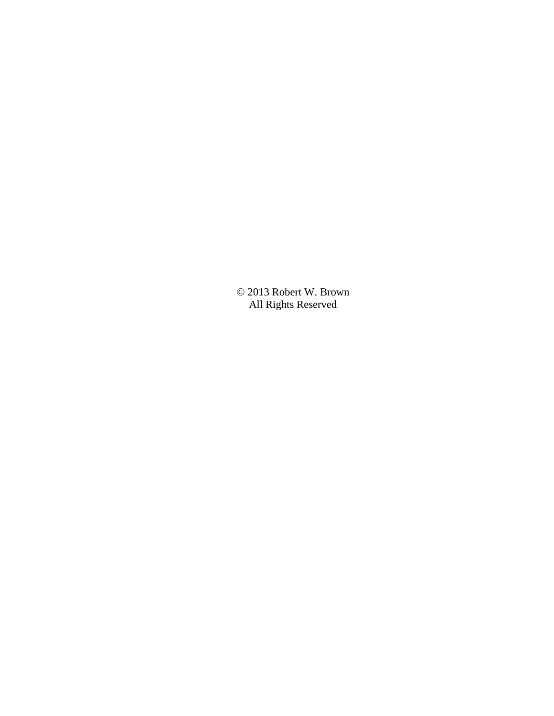© 2013 Robert W. Brown All Rights Reserved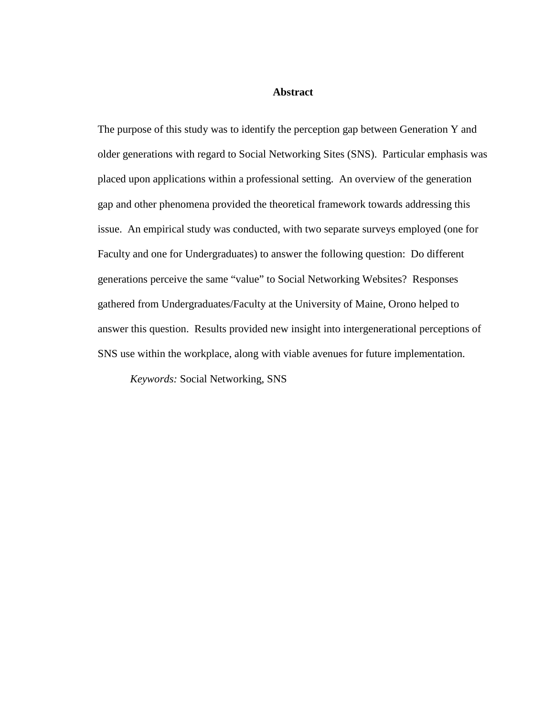## **Abstract**

The purpose of this study was to identify the perception gap between Generation Y and older generations with regard to Social Networking Sites (SNS). Particular emphasis was placed upon applications within a professional setting. An overview of the generation gap and other phenomena provided the theoretical framework towards addressing this issue. An empirical study was conducted, with two separate surveys employed (one for Faculty and one for Undergraduates) to answer the following question: Do different generations perceive the same "value" to Social Networking Websites? Responses gathered from Undergraduates/Faculty at the University of Maine, Orono helped to answer this question. Results provided new insight into intergenerational perceptions of SNS use within the workplace, along with viable avenues for future implementation.

*Keywords:* Social Networking, SNS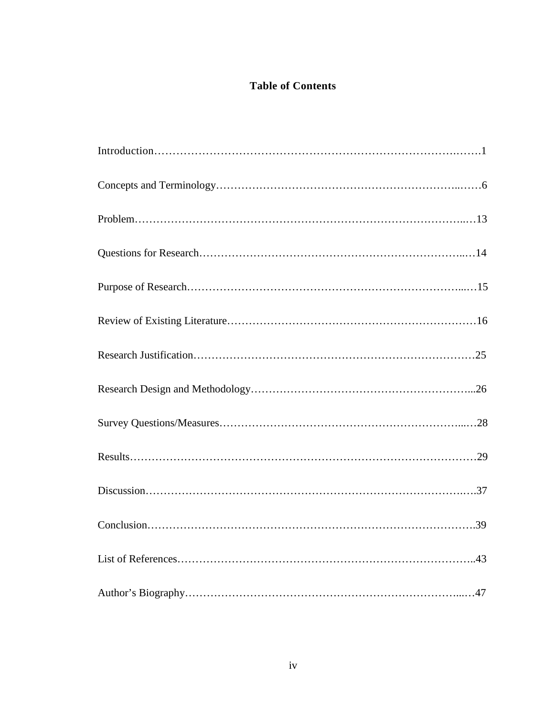# **Table of Contents**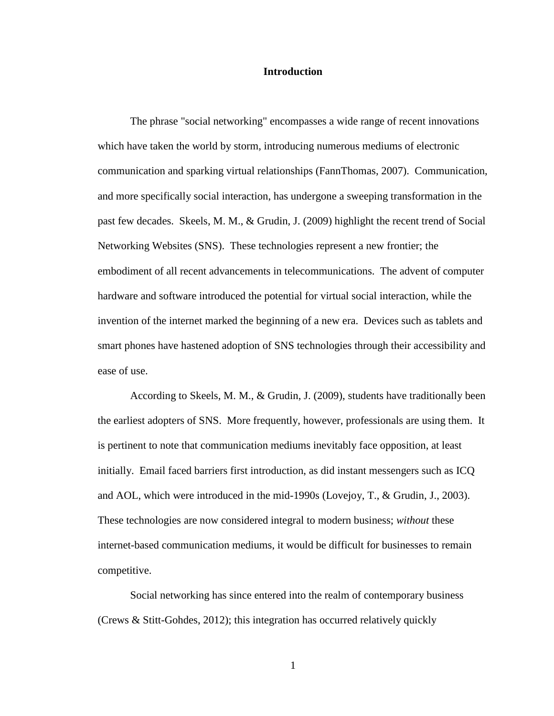# **Introduction**

The phrase "social networking" encompasses a wide range of recent innovations which have taken the world by storm, introducing numerous mediums of electronic communication and sparking virtual relationships (FannThomas, 2007). Communication, and more specifically social interaction, has undergone a sweeping transformation in the past few decades. Skeels, M. M., & Grudin, J. (2009) highlight the recent trend of Social Networking Websites (SNS). These technologies represent a new frontier; the embodiment of all recent advancements in telecommunications. The advent of computer hardware and software introduced the potential for virtual social interaction, while the invention of the internet marked the beginning of a new era. Devices such as tablets and smart phones have hastened adoption of SNS technologies through their accessibility and ease of use.

According to Skeels, M. M., & Grudin, J. (2009), students have traditionally been the earliest adopters of SNS. More frequently, however, professionals are using them. It is pertinent to note that communication mediums inevitably face opposition, at least initially. Email faced barriers first introduction, as did instant messengers such as ICQ and AOL, which were introduced in the mid-1990s (Lovejoy, T., & Grudin, J., 2003). These technologies are now considered integral to modern business; *without* these internet-based communication mediums, it would be difficult for businesses to remain competitive.

Social networking has since entered into the realm of contemporary business (Crews & Stitt-Gohdes, 2012); this integration has occurred relatively quickly

1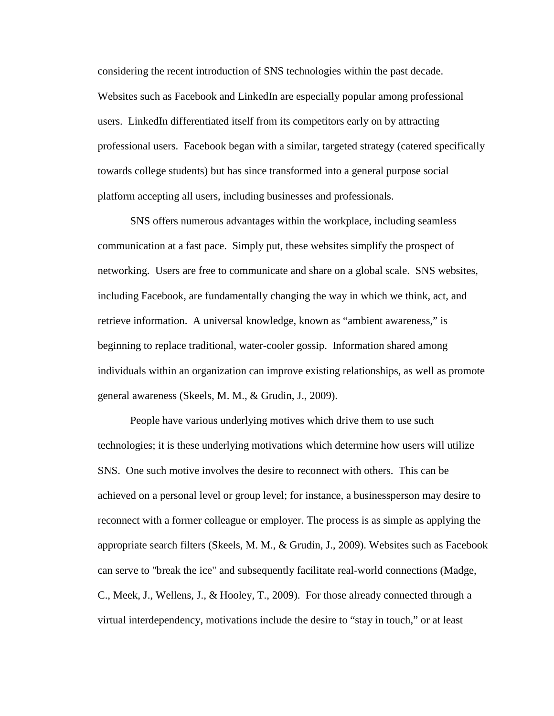considering the recent introduction of SNS technologies within the past decade. Websites such as Facebook and LinkedIn are especially popular among professional users. LinkedIn differentiated itself from its competitors early on by attracting professional users. Facebook began with a similar, targeted strategy (catered specifically towards college students) but has since transformed into a general purpose social platform accepting all users, including businesses and professionals.

SNS offers numerous advantages within the workplace, including seamless communication at a fast pace. Simply put, these websites simplify the prospect of networking. Users are free to communicate and share on a global scale. SNS websites, including Facebook, are fundamentally changing the way in which we think, act, and retrieve information. A universal knowledge, known as "ambient awareness," is beginning to replace traditional, water-cooler gossip. Information shared among individuals within an organization can improve existing relationships, as well as promote general awareness (Skeels, M. M., & Grudin, J., 2009).

People have various underlying motives which drive them to use such technologies; it is these underlying motivations which determine how users will utilize SNS. One such motive involves the desire to reconnect with others. This can be achieved on a personal level or group level; for instance, a businessperson may desire to reconnect with a former colleague or employer. The process is as simple as applying the appropriate search filters (Skeels, M. M., & Grudin, J., 2009). Websites such as Facebook can serve to "break the ice" and subsequently facilitate real-world connections (Madge, C., Meek, J., Wellens, J., & Hooley, T., 2009). For those already connected through a virtual interdependency, motivations include the desire to "stay in touch," or at least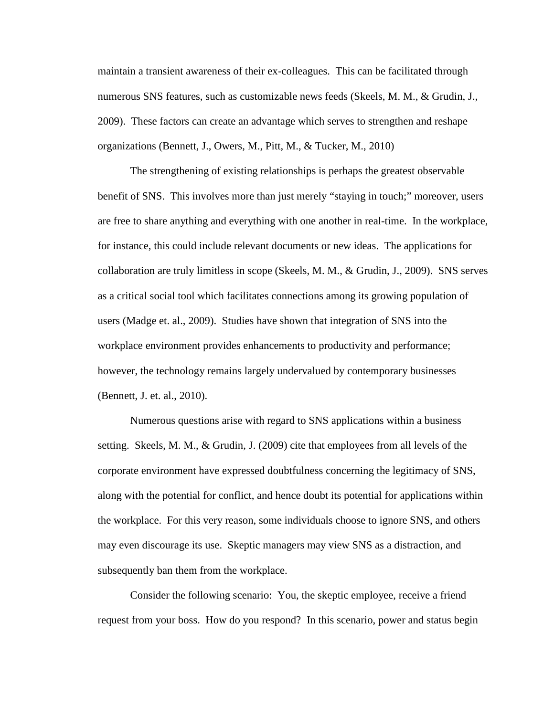maintain a transient awareness of their ex-colleagues. This can be facilitated through numerous SNS features, such as customizable news feeds (Skeels, M. M., & Grudin, J., 2009). These factors can create an advantage which serves to strengthen and reshape organizations (Bennett, J., Owers, M., Pitt, M., & Tucker, M., 2010)

The strengthening of existing relationships is perhaps the greatest observable benefit of SNS. This involves more than just merely "staying in touch;" moreover, users are free to share anything and everything with one another in real-time. In the workplace, for instance, this could include relevant documents or new ideas. The applications for collaboration are truly limitless in scope (Skeels, M. M., & Grudin, J., 2009). SNS serves as a critical social tool which facilitates connections among its growing population of users (Madge et. al., 2009). Studies have shown that integration of SNS into the workplace environment provides enhancements to productivity and performance; however, the technology remains largely undervalued by contemporary businesses (Bennett, J. et. al., 2010).

Numerous questions arise with regard to SNS applications within a business setting. Skeels, M. M., & Grudin, J. (2009) cite that employees from all levels of the corporate environment have expressed doubtfulness concerning the legitimacy of SNS, along with the potential for conflict, and hence doubt its potential for applications within the workplace. For this very reason, some individuals choose to ignore SNS, and others may even discourage its use. Skeptic managers may view SNS as a distraction, and subsequently ban them from the workplace.

Consider the following scenario: You, the skeptic employee, receive a friend request from your boss. How do you respond? In this scenario, power and status begin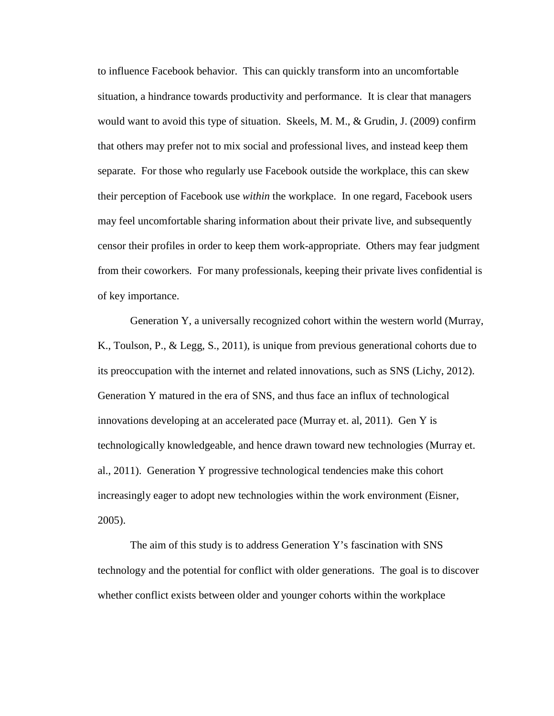to influence Facebook behavior. This can quickly transform into an uncomfortable situation, a hindrance towards productivity and performance. It is clear that managers would want to avoid this type of situation. Skeels, M. M., & Grudin, J. (2009) confirm that others may prefer not to mix social and professional lives, and instead keep them separate. For those who regularly use Facebook outside the workplace, this can skew their perception of Facebook use *within* the workplace. In one regard, Facebook users may feel uncomfortable sharing information about their private live, and subsequently censor their profiles in order to keep them work-appropriate. Others may fear judgment from their coworkers. For many professionals, keeping their private lives confidential is of key importance.

Generation Y, a universally recognized cohort within the western world (Murray, K., Toulson, P., & Legg, S., 2011), is unique from previous generational cohorts due to its preoccupation with the internet and related innovations, such as SNS (Lichy, 2012). Generation Y matured in the era of SNS, and thus face an influx of technological innovations developing at an accelerated pace (Murray et. al, 2011). Gen Y is technologically knowledgeable, and hence drawn toward new technologies (Murray et. al., 2011). Generation Y progressive technological tendencies make this cohort increasingly eager to adopt new technologies within the work environment (Eisner, 2005).

The aim of this study is to address Generation Y's fascination with SNS technology and the potential for conflict with older generations. The goal is to discover whether conflict exists between older and younger cohorts within the workplace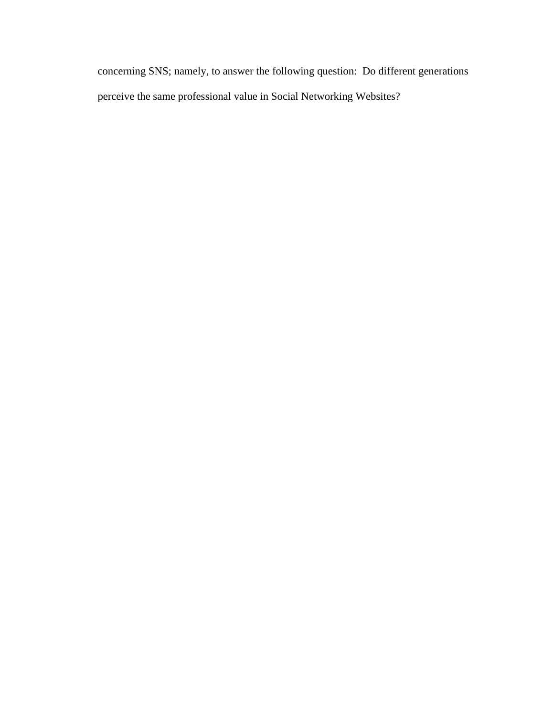concerning SNS; namely, to answer the following question: Do different generations perceive the same professional value in Social Networking Websites?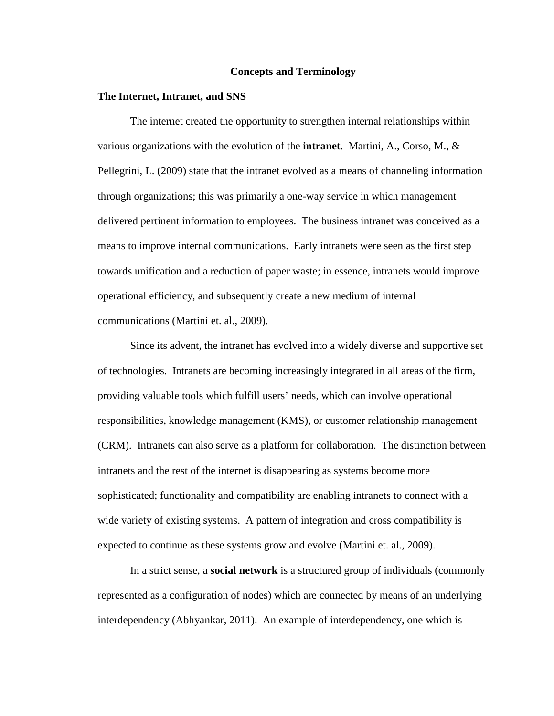#### **Concepts and Terminology**

#### **The Internet, Intranet, and SNS**

The internet created the opportunity to strengthen internal relationships within various organizations with the evolution of the **intranet**. Martini, A., Corso, M., & Pellegrini, L. (2009) state that the intranet evolved as a means of channeling information through organizations; this was primarily a one-way service in which management delivered pertinent information to employees. The business intranet was conceived as a means to improve internal communications. Early intranets were seen as the first step towards unification and a reduction of paper waste; in essence, intranets would improve operational efficiency, and subsequently create a new medium of internal communications (Martini et. al., 2009).

Since its advent, the intranet has evolved into a widely diverse and supportive set of technologies. Intranets are becoming increasingly integrated in all areas of the firm, providing valuable tools which fulfill users' needs, which can involve operational responsibilities, knowledge management (KMS), or customer relationship management (CRM). Intranets can also serve as a platform for collaboration. The distinction between intranets and the rest of the internet is disappearing as systems become more sophisticated; functionality and compatibility are enabling intranets to connect with a wide variety of existing systems. A pattern of integration and cross compatibility is expected to continue as these systems grow and evolve (Martini et. al., 2009).

In a strict sense, a **social network** is a structured group of individuals (commonly represented as a configuration of nodes) which are connected by means of an underlying interdependency (Abhyankar, 2011). An example of interdependency, one which is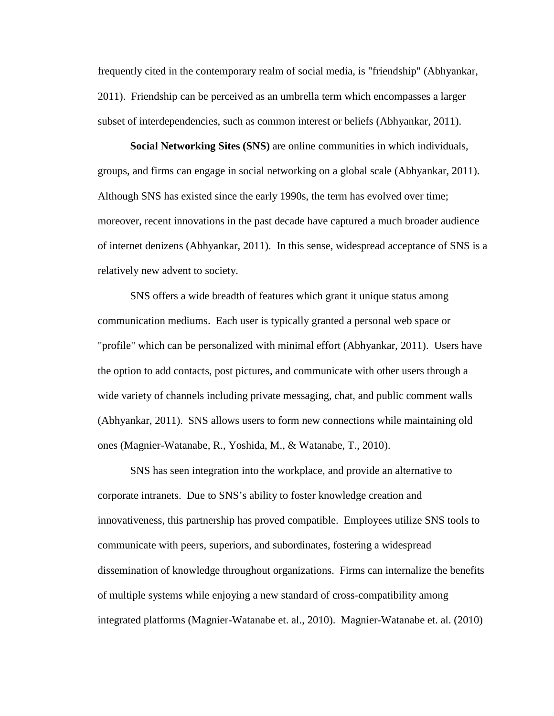frequently cited in the contemporary realm of social media, is "friendship" (Abhyankar, 2011). Friendship can be perceived as an umbrella term which encompasses a larger subset of interdependencies, such as common interest or beliefs (Abhyankar, 2011).

**Social Networking Sites (SNS)** are online communities in which individuals, groups, and firms can engage in social networking on a global scale (Abhyankar, 2011). Although SNS has existed since the early 1990s, the term has evolved over time; moreover, recent innovations in the past decade have captured a much broader audience of internet denizens (Abhyankar, 2011). In this sense, widespread acceptance of SNS is a relatively new advent to society.

SNS offers a wide breadth of features which grant it unique status among communication mediums. Each user is typically granted a personal web space or "profile" which can be personalized with minimal effort (Abhyankar, 2011). Users have the option to add contacts, post pictures, and communicate with other users through a wide variety of channels including private messaging, chat, and public comment walls (Abhyankar, 2011). SNS allows users to form new connections while maintaining old ones (Magnier-Watanabe, R., Yoshida, M., & Watanabe, T., 2010).

SNS has seen integration into the workplace, and provide an alternative to corporate intranets. Due to SNS's ability to foster knowledge creation and innovativeness, this partnership has proved compatible. Employees utilize SNS tools to communicate with peers, superiors, and subordinates, fostering a widespread dissemination of knowledge throughout organizations. Firms can internalize the benefits of multiple systems while enjoying a new standard of cross-compatibility among integrated platforms (Magnier-Watanabe et. al., 2010). Magnier-Watanabe et. al. (2010)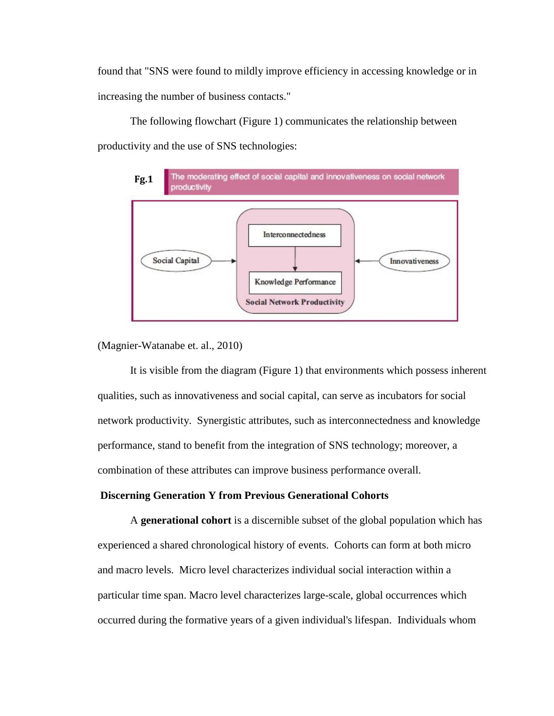found that "SNS were found to mildly improve efficiency in accessing knowledge or in increasing the number of business contacts."

The following flowchart (Figure 1) communicates the relationship between productivity and the use of SNS technologies:



(Magnier-Watanabe et. al., 2010)

It is visible from the diagram (Figure 1) that environments which possess inherent qualities, such as innovativeness and social capital, can serve as incubators for social network productivity. Synergistic attributes, such as interconnectedness and knowledge performance, stand to benefit from the integration of SNS technology; moreover, a combination of these attributes can improve business performance overall.

# **Discerning Generation Y from Previous Generational Cohorts**

A **generational cohort** is a discernible subset of the global population which has experienced a shared chronological history of events. Cohorts can form at both micro and macro levels. Micro level characterizes individual social interaction within a particular time span. Macro level characterizes large-scale, global occurrences which occurred during the formative years of a given individual's lifespan. Individuals whom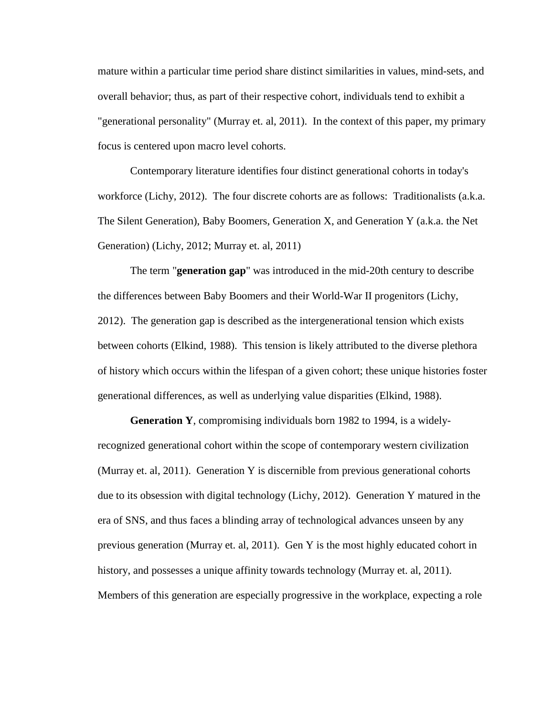mature within a particular time period share distinct similarities in values, mind-sets, and overall behavior; thus, as part of their respective cohort, individuals tend to exhibit a "generational personality" (Murray et. al, 2011). In the context of this paper, my primary focus is centered upon macro level cohorts.

Contemporary literature identifies four distinct generational cohorts in today's workforce (Lichy, 2012). The four discrete cohorts are as follows: Traditionalists (a.k.a. The Silent Generation), Baby Boomers, Generation X, and Generation Y (a.k.a. the Net Generation) (Lichy, 2012; Murray et. al, 2011)

The term "**generation gap**" was introduced in the mid-20th century to describe the differences between Baby Boomers and their World-War II progenitors (Lichy, 2012). The generation gap is described as the intergenerational tension which exists between cohorts (Elkind, 1988). This tension is likely attributed to the diverse plethora of history which occurs within the lifespan of a given cohort; these unique histories foster generational differences, as well as underlying value disparities (Elkind, 1988).

**Generation Y**, compromising individuals born 1982 to 1994, is a widelyrecognized generational cohort within the scope of contemporary western civilization (Murray et. al, 2011). Generation Y is discernible from previous generational cohorts due to its obsession with digital technology (Lichy, 2012). Generation Y matured in the era of SNS, and thus faces a blinding array of technological advances unseen by any previous generation (Murray et. al, 2011). Gen Y is the most highly educated cohort in history, and possesses a unique affinity towards technology (Murray et. al, 2011). Members of this generation are especially progressive in the workplace, expecting a role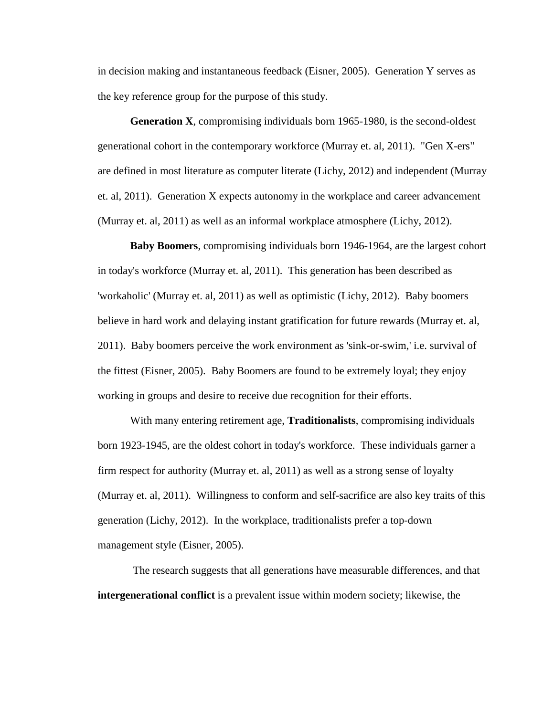in decision making and instantaneous feedback (Eisner, 2005). Generation Y serves as the key reference group for the purpose of this study.

**Generation X**, compromising individuals born 1965-1980, is the second-oldest generational cohort in the contemporary workforce (Murray et. al, 2011). "Gen X-ers" are defined in most literature as computer literate (Lichy, 2012) and independent (Murray et. al, 2011). Generation X expects autonomy in the workplace and career advancement (Murray et. al, 2011) as well as an informal workplace atmosphere (Lichy, 2012).

**Baby Boomers**, compromising individuals born 1946-1964, are the largest cohort in today's workforce (Murray et. al, 2011). This generation has been described as 'workaholic' (Murray et. al, 2011) as well as optimistic (Lichy, 2012). Baby boomers believe in hard work and delaying instant gratification for future rewards (Murray et. al, 2011). Baby boomers perceive the work environment as 'sink-or-swim,' i.e. survival of the fittest (Eisner, 2005). Baby Boomers are found to be extremely loyal; they enjoy working in groups and desire to receive due recognition for their efforts.

With many entering retirement age, **Traditionalists**, compromising individuals born 1923-1945, are the oldest cohort in today's workforce. These individuals garner a firm respect for authority (Murray et. al, 2011) as well as a strong sense of loyalty (Murray et. al, 2011). Willingness to conform and self-sacrifice are also key traits of this generation (Lichy, 2012). In the workplace, traditionalists prefer a top-down management style (Eisner, 2005).

The research suggests that all generations have measurable differences, and that **intergenerational conflict** is a prevalent issue within modern society; likewise, the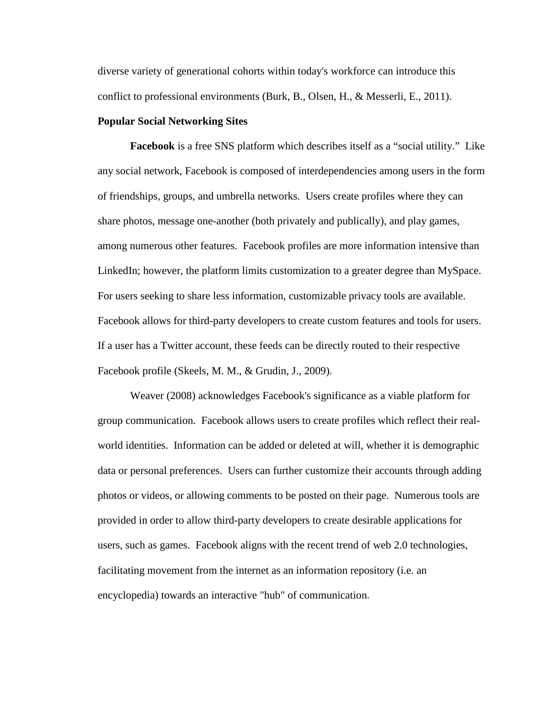diverse variety of generational cohorts within today's workforce can introduce this conflict to professional environments (Burk, B., Olsen, H., & Messerli, E., 2011).

#### **Popular Social Networking Sites**

**Facebook** is a free SNS platform which describes itself as a "social utility." Like any social network, Facebook is composed of interdependencies among users in the form of friendships, groups, and umbrella networks. Users create profiles where they can share photos, message one-another (both privately and publically), and play games, among numerous other features. Facebook profiles are more information intensive than LinkedIn; however, the platform limits customization to a greater degree than MySpace. For users seeking to share less information, customizable privacy tools are available. Facebook allows for third-party developers to create custom features and tools for users. If a user has a Twitter account, these feeds can be directly routed to their respective Facebook profile (Skeels, M. M., & Grudin, J., 2009)**.**

Weaver (2008) acknowledges Facebook's significance as a viable platform for group communication. Facebook allows users to create profiles which reflect their realworld identities. Information can be added or deleted at will, whether it is demographic data or personal preferences. Users can further customize their accounts through adding photos or videos, or allowing comments to be posted on their page. Numerous tools are provided in order to allow third-party developers to create desirable applications for users, such as games. Facebook aligns with the recent trend of web 2.0 technologies, facilitating movement from the internet as an information repository (i.e. an encyclopedia) towards an interactive "hub" of communication**.**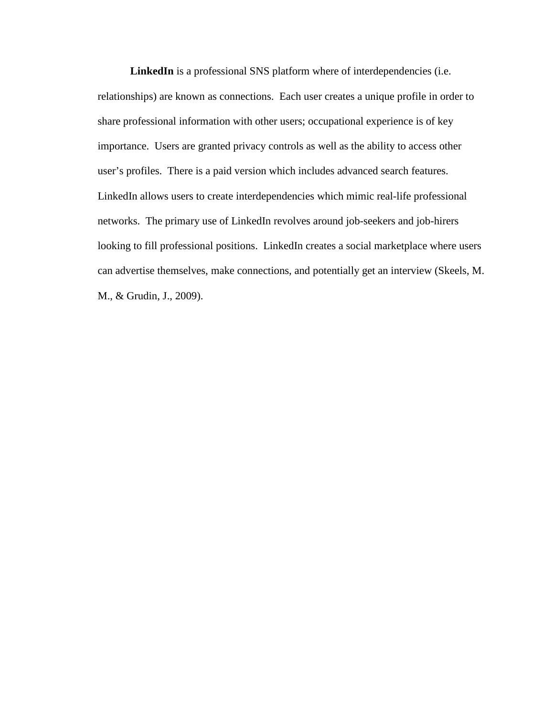LinkedIn is a professional SNS platform where of interdependencies (i.e. relationships) are known as connections. Each user creates a unique profile in order to share professional information with other users; occupational experience is of key importance. Users are granted privacy controls as well as the ability to access other user's profiles. There is a paid version which includes advanced search features. LinkedIn allows users to create interdependencies which mimic real-life professional networks. The primary use of LinkedIn revolves around job-seekers and job-hirers looking to fill professional positions. LinkedIn creates a social marketplace where users can advertise themselves, make connections, and potentially get an interview (Skeels, M. M., & Grudin, J., 2009).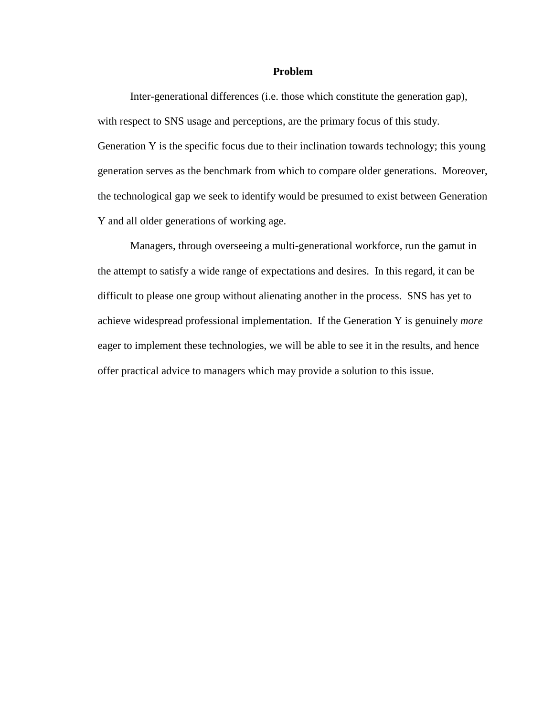# **Problem**

Inter-generational differences (i.e. those which constitute the generation gap), with respect to SNS usage and perceptions, are the primary focus of this study. Generation Y is the specific focus due to their inclination towards technology; this young generation serves as the benchmark from which to compare older generations. Moreover, the technological gap we seek to identify would be presumed to exist between Generation Y and all older generations of working age.

Managers, through overseeing a multi-generational workforce, run the gamut in the attempt to satisfy a wide range of expectations and desires. In this regard, it can be difficult to please one group without alienating another in the process. SNS has yet to achieve widespread professional implementation. If the Generation Y is genuinely *more* eager to implement these technologies, we will be able to see it in the results, and hence offer practical advice to managers which may provide a solution to this issue.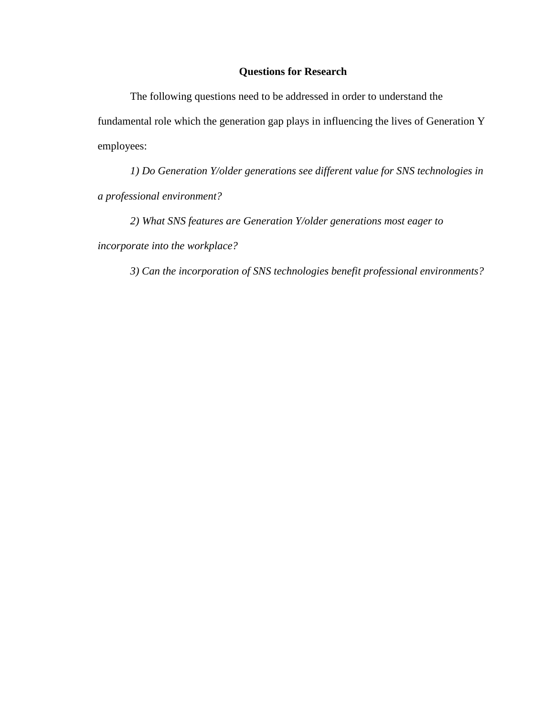# **Questions for Research**

The following questions need to be addressed in order to understand the fundamental role which the generation gap plays in influencing the lives of Generation Y employees:

*1) Do Generation Y/older generations see different value for SNS technologies in a professional environment?* 

*2) What SNS features are Generation Y/older generations most eager to incorporate into the workplace?*

*3) Can the incorporation of SNS technologies benefit professional environments?*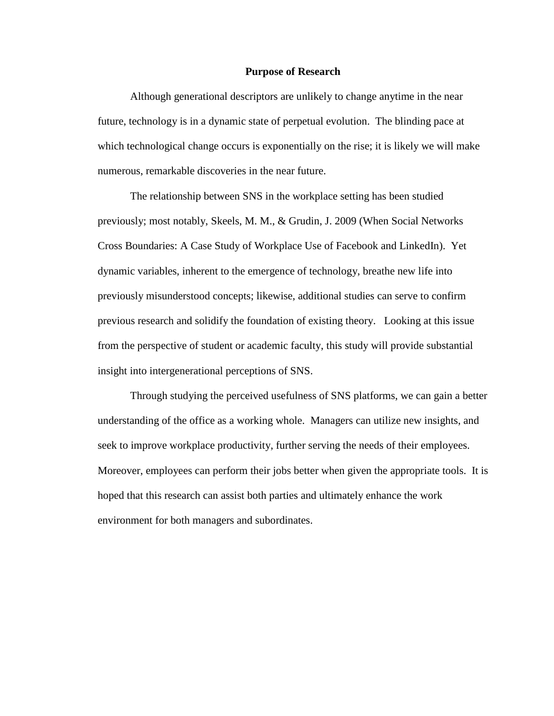# **Purpose of Research**

Although generational descriptors are unlikely to change anytime in the near future, technology is in a dynamic state of perpetual evolution. The blinding pace at which technological change occurs is exponentially on the rise; it is likely we will make numerous, remarkable discoveries in the near future.

The relationship between SNS in the workplace setting has been studied previously; most notably, Skeels, M. M., & Grudin, J. 2009 (When Social Networks Cross Boundaries: A Case Study of Workplace Use of Facebook and LinkedIn). Yet dynamic variables, inherent to the emergence of technology, breathe new life into previously misunderstood concepts; likewise, additional studies can serve to confirm previous research and solidify the foundation of existing theory. Looking at this issue from the perspective of student or academic faculty, this study will provide substantial insight into intergenerational perceptions of SNS.

Through studying the perceived usefulness of SNS platforms, we can gain a better understanding of the office as a working whole. Managers can utilize new insights, and seek to improve workplace productivity, further serving the needs of their employees. Moreover, employees can perform their jobs better when given the appropriate tools. It is hoped that this research can assist both parties and ultimately enhance the work environment for both managers and subordinates.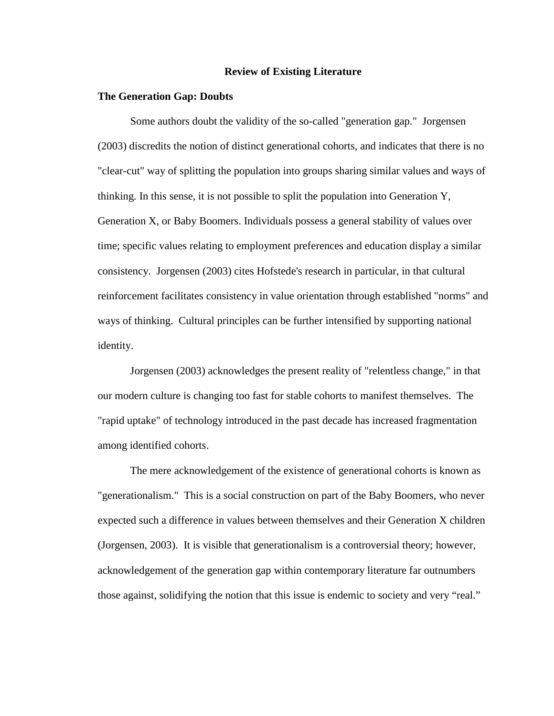#### **Review of Existing Literature**

#### **The Generation Gap: Doubts**

Some authors doubt the validity of the so-called "generation gap." Jorgensen (2003) discredits the notion of distinct generational cohorts, and indicates that there is no "clear-cut" way of splitting the population into groups sharing similar values and ways of thinking. In this sense, it is not possible to split the population into Generation Y, Generation X, or Baby Boomers. Individuals possess a general stability of values over time; specific values relating to employment preferences and education display a similar consistency. Jorgensen (2003) cites Hofstede's research in particular, in that cultural reinforcement facilitates consistency in value orientation through established "norms" and ways of thinking. Cultural principles can be further intensified by supporting national identity.

Jorgensen (2003) acknowledges the present reality of "relentless change," in that our modern culture is changing too fast for stable cohorts to manifest themselves. The "rapid uptake" of technology introduced in the past decade has increased fragmentation among identified cohorts.

The mere acknowledgement of the existence of generational cohorts is known as "generationalism." This is a social construction on part of the Baby Boomers, who never expected such a difference in values between themselves and their Generation X children (Jorgensen, 2003). It is visible that generationalism is a controversial theory; however, acknowledgement of the generation gap within contemporary literature far outnumbers those against, solidifying the notion that this issue is endemic to society and very "real."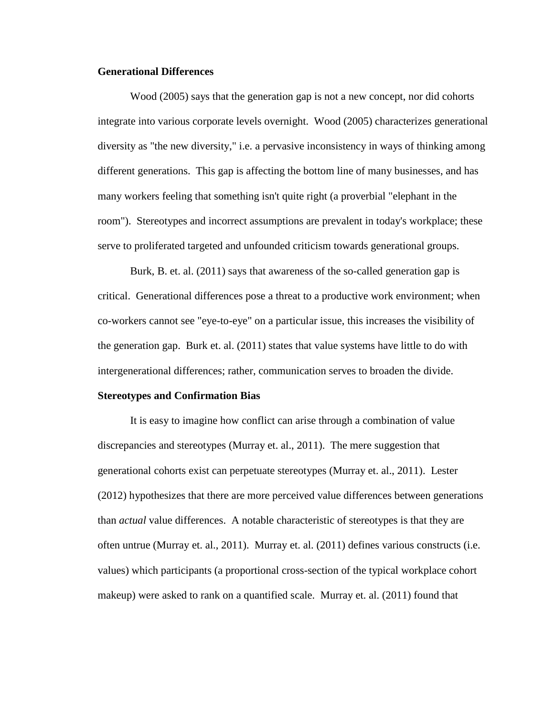# **Generational Differences**

Wood (2005) says that the generation gap is not a new concept, nor did cohorts integrate into various corporate levels overnight. Wood (2005) characterizes generational diversity as "the new diversity," i.e. a pervasive inconsistency in ways of thinking among different generations. This gap is affecting the bottom line of many businesses, and has many workers feeling that something isn't quite right (a proverbial "elephant in the room"). Stereotypes and incorrect assumptions are prevalent in today's workplace; these serve to proliferated targeted and unfounded criticism towards generational groups.

Burk, B. et. al. (2011) says that awareness of the so-called generation gap is critical. Generational differences pose a threat to a productive work environment; when co-workers cannot see "eye-to-eye" on a particular issue, this increases the visibility of the generation gap. Burk et. al. (2011) states that value systems have little to do with intergenerational differences; rather, communication serves to broaden the divide.

# **Stereotypes and Confirmation Bias**

It is easy to imagine how conflict can arise through a combination of value discrepancies and stereotypes (Murray et. al., 2011). The mere suggestion that generational cohorts exist can perpetuate stereotypes (Murray et. al., 2011). Lester (2012) hypothesizes that there are more perceived value differences between generations than *actual* value differences. A notable characteristic of stereotypes is that they are often untrue (Murray et. al., 2011). Murray et. al. (2011) defines various constructs (i.e. values) which participants (a proportional cross-section of the typical workplace cohort makeup) were asked to rank on a quantified scale. Murray et. al. (2011) found that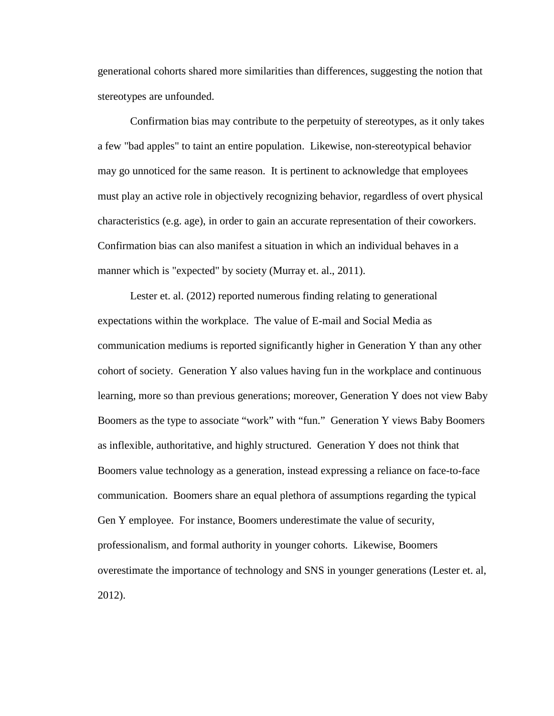generational cohorts shared more similarities than differences, suggesting the notion that stereotypes are unfounded.

Confirmation bias may contribute to the perpetuity of stereotypes, as it only takes a few "bad apples" to taint an entire population. Likewise, non-stereotypical behavior may go unnoticed for the same reason. It is pertinent to acknowledge that employees must play an active role in objectively recognizing behavior, regardless of overt physical characteristics (e.g. age), in order to gain an accurate representation of their coworkers. Confirmation bias can also manifest a situation in which an individual behaves in a manner which is "expected" by society (Murray et. al., 2011).

Lester et. al. (2012) reported numerous finding relating to generational expectations within the workplace. The value of E-mail and Social Media as communication mediums is reported significantly higher in Generation Y than any other cohort of society. Generation Y also values having fun in the workplace and continuous learning, more so than previous generations; moreover, Generation Y does not view Baby Boomers as the type to associate "work" with "fun." Generation Y views Baby Boomers as inflexible, authoritative, and highly structured. Generation Y does not think that Boomers value technology as a generation, instead expressing a reliance on face-to-face communication. Boomers share an equal plethora of assumptions regarding the typical Gen Y employee. For instance, Boomers underestimate the value of security, professionalism, and formal authority in younger cohorts. Likewise, Boomers overestimate the importance of technology and SNS in younger generations (Lester et. al, 2012).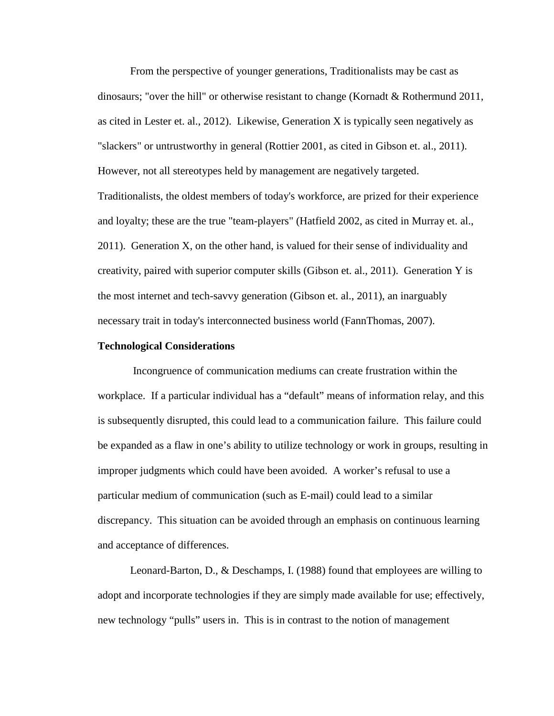From the perspective of younger generations, Traditionalists may be cast as dinosaurs; "over the hill" or otherwise resistant to change (Kornadt & Rothermund 2011, as cited in Lester et. al., 2012). Likewise, Generation X is typically seen negatively as "slackers" or untrustworthy in general (Rottier 2001, as cited in Gibson et. al., 2011). However, not all stereotypes held by management are negatively targeted. Traditionalists, the oldest members of today's workforce, are prized for their experience and loyalty; these are the true "team-players" (Hatfield 2002, as cited in Murray et. al., 2011). Generation X, on the other hand, is valued for their sense of individuality and creativity, paired with superior computer skills (Gibson et. al., 2011). Generation Y is the most internet and tech-savvy generation (Gibson et. al., 2011), an inarguably necessary trait in today's interconnected business world (FannThomas, 2007).

### **Technological Considerations**

Incongruence of communication mediums can create frustration within the workplace. If a particular individual has a "default" means of information relay, and this is subsequently disrupted, this could lead to a communication failure. This failure could be expanded as a flaw in one's ability to utilize technology or work in groups, resulting in improper judgments which could have been avoided. A worker's refusal to use a particular medium of communication (such as E-mail) could lead to a similar discrepancy. This situation can be avoided through an emphasis on continuous learning and acceptance of differences.

Leonard-Barton, D., & Deschamps, I. (1988) found that employees are willing to adopt and incorporate technologies if they are simply made available for use; effectively, new technology "pulls" users in. This is in contrast to the notion of management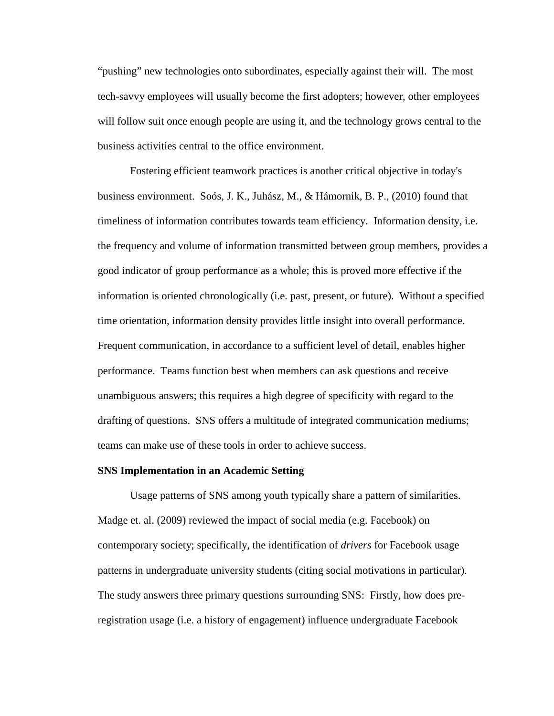"pushing" new technologies onto subordinates, especially against their will. The most tech-savvy employees will usually become the first adopters; however, other employees will follow suit once enough people are using it, and the technology grows central to the business activities central to the office environment.

Fostering efficient teamwork practices is another critical objective in today's business environment. Soós, J. K., Juhász, M., & Hámornik, B. P., (2010) found that timeliness of information contributes towards team efficiency. Information density, i.e. the frequency and volume of information transmitted between group members, provides a good indicator of group performance as a whole; this is proved more effective if the information is oriented chronologically (i.e. past, present, or future). Without a specified time orientation, information density provides little insight into overall performance. Frequent communication, in accordance to a sufficient level of detail, enables higher performance. Teams function best when members can ask questions and receive unambiguous answers; this requires a high degree of specificity with regard to the drafting of questions. SNS offers a multitude of integrated communication mediums; teams can make use of these tools in order to achieve success.

# **SNS Implementation in an Academic Setting**

Usage patterns of SNS among youth typically share a pattern of similarities. Madge et. al. (2009) reviewed the impact of social media (e.g. Facebook) on contemporary society; specifically, the identification of *drivers* for Facebook usage patterns in undergraduate university students (citing social motivations in particular). The study answers three primary questions surrounding SNS: Firstly, how does preregistration usage (i.e. a history of engagement) influence undergraduate Facebook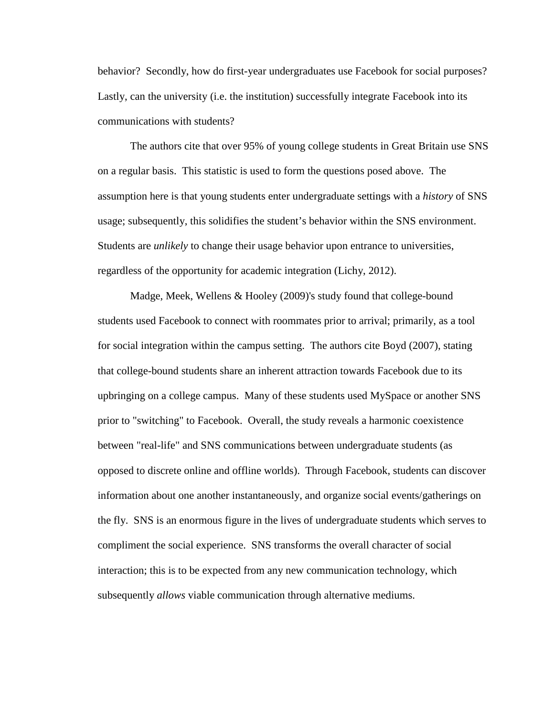behavior? Secondly, how do first-year undergraduates use Facebook for social purposes? Lastly, can the university (i.e. the institution) successfully integrate Facebook into its communications with students?

The authors cite that over 95% of young college students in Great Britain use SNS on a regular basis. This statistic is used to form the questions posed above. The assumption here is that young students enter undergraduate settings with a *history* of SNS usage; subsequently, this solidifies the student's behavior within the SNS environment. Students are *unlikely* to change their usage behavior upon entrance to universities, regardless of the opportunity for academic integration (Lichy, 2012).

Madge, Meek, Wellens & Hooley (2009)'s study found that college-bound students used Facebook to connect with roommates prior to arrival; primarily, as a tool for social integration within the campus setting. The authors cite Boyd (2007), stating that college-bound students share an inherent attraction towards Facebook due to its upbringing on a college campus. Many of these students used MySpace or another SNS prior to "switching" to Facebook. Overall, the study reveals a harmonic coexistence between "real-life" and SNS communications between undergraduate students (as opposed to discrete online and offline worlds). Through Facebook, students can discover information about one another instantaneously, and organize social events/gatherings on the fly. SNS is an enormous figure in the lives of undergraduate students which serves to compliment the social experience. SNS transforms the overall character of social interaction; this is to be expected from any new communication technology, which subsequently *allows* viable communication through alternative mediums.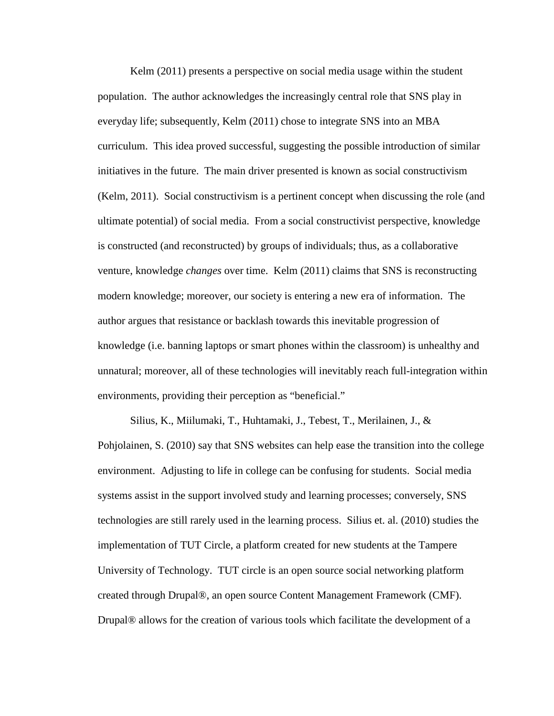Kelm (2011) presents a perspective on social media usage within the student population.The author acknowledges the increasingly central role that SNS play in everyday life; subsequently, Kelm (2011) chose to integrate SNS into an MBA curriculum. This idea proved successful, suggesting the possible introduction of similar initiatives in the future. The main driver presented is known as social constructivism (Kelm, 2011). Social constructivism is a pertinent concept when discussing the role (and ultimate potential) of social media. From a social constructivist perspective, knowledge is constructed (and reconstructed) by groups of individuals; thus, as a collaborative venture, knowledge *changes* over time. Kelm (2011) claims that SNS is reconstructing modern knowledge; moreover, our society is entering a new era of information. The author argues that resistance or backlash towards this inevitable progression of knowledge (i.e. banning laptops or smart phones within the classroom) is unhealthy and unnatural; moreover, all of these technologies will inevitably reach full-integration within environments, providing their perception as "beneficial."

Silius, K., Miilumaki, T., Huhtamaki, J., Tebest, T., Merilainen, J., & Pohjolainen, S. (2010) say that SNS websites can help ease the transition into the college environment. Adjusting to life in college can be confusing for students. Social media systems assist in the support involved study and learning processes; conversely, SNS technologies are still rarely used in the learning process. Silius et. al. (2010) studies the implementation of TUT Circle, a platform created for new students at the Tampere University of Technology. TUT circle is an open source social networking platform created through Drupal®, an open source Content Management Framework (CMF). Drupal® allows for the creation of various tools which facilitate the development of a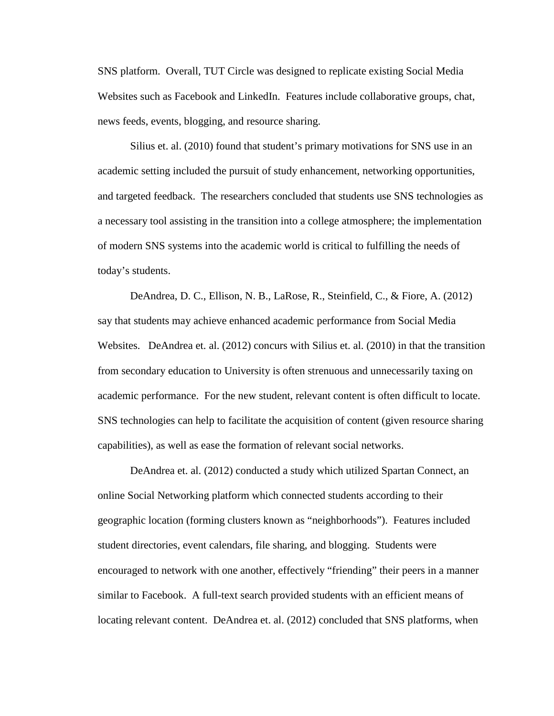SNS platform. Overall, TUT Circle was designed to replicate existing Social Media Websites such as Facebook and LinkedIn. Features include collaborative groups, chat, news feeds, events, blogging, and resource sharing.

Silius et. al. (2010) found that student's primary motivations for SNS use in an academic setting included the pursuit of study enhancement, networking opportunities, and targeted feedback. The researchers concluded that students use SNS technologies as a necessary tool assisting in the transition into a college atmosphere; the implementation of modern SNS systems into the academic world is critical to fulfilling the needs of today's students.

DeAndrea, D. C., Ellison, N. B., LaRose, R., Steinfield, C., & Fiore, A. (2012) say that students may achieve enhanced academic performance from Social Media Websites. DeAndrea et. al. (2012) concurs with Silius et. al. (2010) in that the transition from secondary education to University is often strenuous and unnecessarily taxing on academic performance. For the new student, relevant content is often difficult to locate. SNS technologies can help to facilitate the acquisition of content (given resource sharing capabilities), as well as ease the formation of relevant social networks.

DeAndrea et. al. (2012) conducted a study which utilized Spartan Connect, an online Social Networking platform which connected students according to their geographic location (forming clusters known as "neighborhoods"). Features included student directories, event calendars, file sharing, and blogging. Students were encouraged to network with one another, effectively "friending" their peers in a manner similar to Facebook. A full-text search provided students with an efficient means of locating relevant content. DeAndrea et. al. (2012) concluded that SNS platforms, when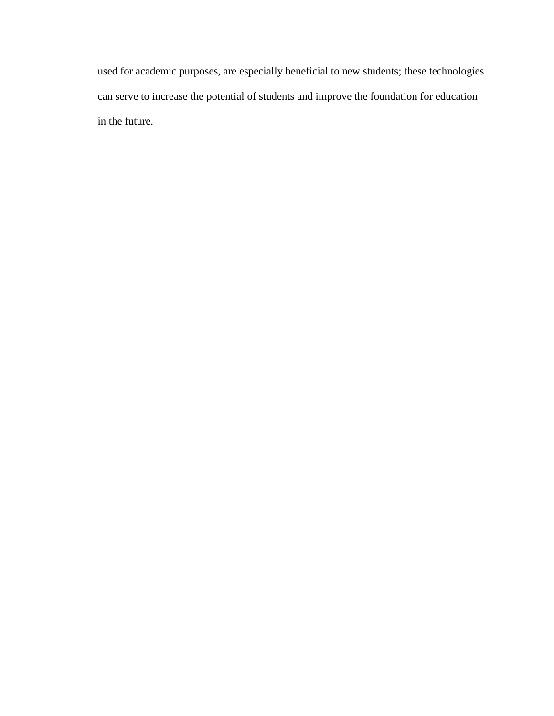used for academic purposes, are especially beneficial to new students; these technologies can serve to increase the potential of students and improve the foundation for education in the future.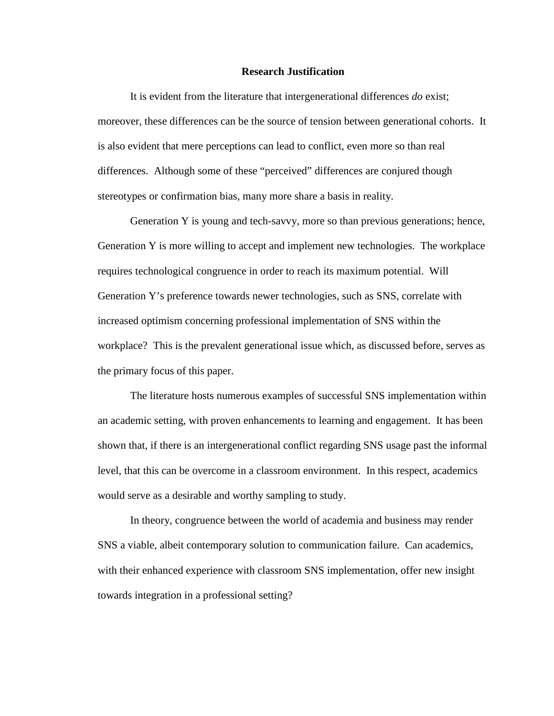#### **Research Justification**

It is evident from the literature that intergenerational differences *do* exist; moreover, these differences can be the source of tension between generational cohorts. It is also evident that mere perceptions can lead to conflict, even more so than real differences. Although some of these "perceived" differences are conjured though stereotypes or confirmation bias, many more share a basis in reality.

Generation Y is young and tech-savvy, more so than previous generations; hence, Generation Y is more willing to accept and implement new technologies. The workplace requires technological congruence in order to reach its maximum potential. Will Generation Y's preference towards newer technologies, such as SNS, correlate with increased optimism concerning professional implementation of SNS within the workplace? This is the prevalent generational issue which, as discussed before, serves as the primary focus of this paper.

The literature hosts numerous examples of successful SNS implementation within an academic setting, with proven enhancements to learning and engagement. It has been shown that, if there is an intergenerational conflict regarding SNS usage past the informal level, that this can be overcome in a classroom environment. In this respect, academics would serve as a desirable and worthy sampling to study.

In theory, congruence between the world of academia and business may render SNS a viable, albeit contemporary solution to communication failure. Can academics, with their enhanced experience with classroom SNS implementation, offer new insight towards integration in a professional setting?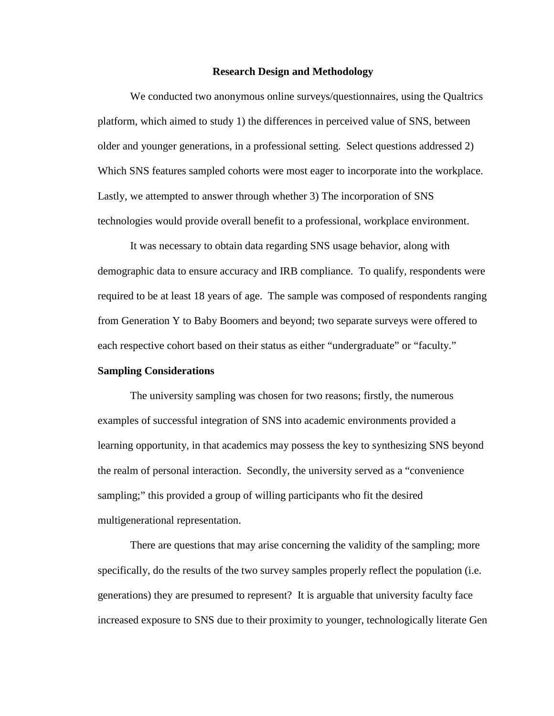#### **Research Design and Methodology**

We conducted two anonymous online surveys/questionnaires, using the Qualtrics platform, which aimed to study 1) the differences in perceived value of SNS, between older and younger generations, in a professional setting. Select questions addressed 2) Which SNS features sampled cohorts were most eager to incorporate into the workplace. Lastly, we attempted to answer through whether 3) The incorporation of SNS technologies would provide overall benefit to a professional, workplace environment.

It was necessary to obtain data regarding SNS usage behavior, along with demographic data to ensure accuracy and IRB compliance. To qualify, respondents were required to be at least 18 years of age. The sample was composed of respondents ranging from Generation Y to Baby Boomers and beyond; two separate surveys were offered to each respective cohort based on their status as either "undergraduate" or "faculty."

## **Sampling Considerations**

The university sampling was chosen for two reasons; firstly, the numerous examples of successful integration of SNS into academic environments provided a learning opportunity, in that academics may possess the key to synthesizing SNS beyond the realm of personal interaction. Secondly, the university served as a "convenience sampling;" this provided a group of willing participants who fit the desired multigenerational representation.

There are questions that may arise concerning the validity of the sampling; more specifically, do the results of the two survey samples properly reflect the population (i.e. generations) they are presumed to represent? It is arguable that university faculty face increased exposure to SNS due to their proximity to younger, technologically literate Gen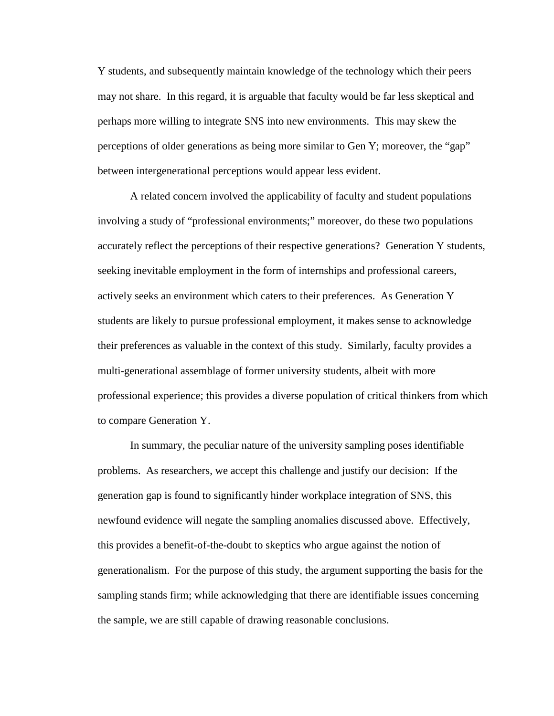Y students, and subsequently maintain knowledge of the technology which their peers may not share. In this regard, it is arguable that faculty would be far less skeptical and perhaps more willing to integrate SNS into new environments. This may skew the perceptions of older generations as being more similar to Gen Y; moreover, the "gap" between intergenerational perceptions would appear less evident.

A related concern involved the applicability of faculty and student populations involving a study of "professional environments;" moreover, do these two populations accurately reflect the perceptions of their respective generations? Generation Y students, seeking inevitable employment in the form of internships and professional careers, actively seeks an environment which caters to their preferences. As Generation Y students are likely to pursue professional employment, it makes sense to acknowledge their preferences as valuable in the context of this study. Similarly, faculty provides a multi-generational assemblage of former university students, albeit with more professional experience; this provides a diverse population of critical thinkers from which to compare Generation Y.

In summary, the peculiar nature of the university sampling poses identifiable problems. As researchers, we accept this challenge and justify our decision: If the generation gap is found to significantly hinder workplace integration of SNS, this newfound evidence will negate the sampling anomalies discussed above. Effectively, this provides a benefit-of-the-doubt to skeptics who argue against the notion of generationalism. For the purpose of this study, the argument supporting the basis for the sampling stands firm; while acknowledging that there are identifiable issues concerning the sample, we are still capable of drawing reasonable conclusions.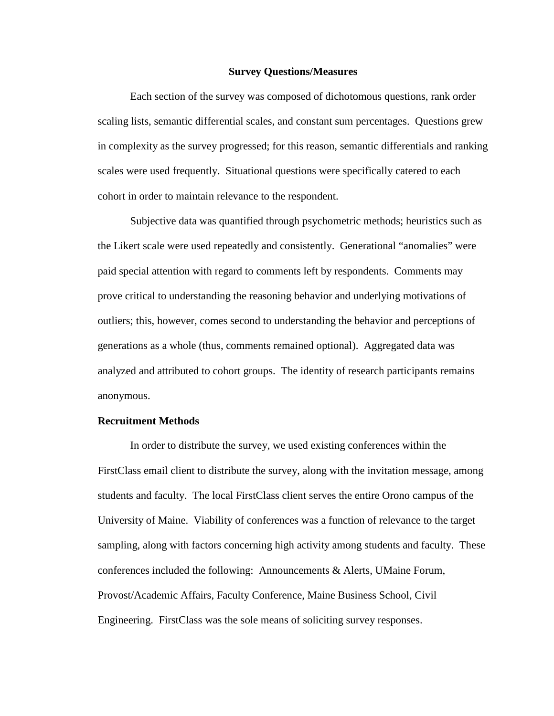#### **Survey Questions/Measures**

Each section of the survey was composed of dichotomous questions, rank order scaling lists, semantic differential scales, and constant sum percentages. Questions grew in complexity as the survey progressed; for this reason, semantic differentials and ranking scales were used frequently. Situational questions were specifically catered to each cohort in order to maintain relevance to the respondent.

Subjective data was quantified through psychometric methods; heuristics such as the Likert scale were used repeatedly and consistently. Generational "anomalies" were paid special attention with regard to comments left by respondents. Comments may prove critical to understanding the reasoning behavior and underlying motivations of outliers; this, however, comes second to understanding the behavior and perceptions of generations as a whole (thus, comments remained optional). Aggregated data was analyzed and attributed to cohort groups. The identity of research participants remains anonymous.

# **Recruitment Methods**

In order to distribute the survey, we used existing conferences within the FirstClass email client to distribute the survey, along with the invitation message, among students and faculty. The local FirstClass client serves the entire Orono campus of the University of Maine. Viability of conferences was a function of relevance to the target sampling, along with factors concerning high activity among students and faculty. These conferences included the following: Announcements & Alerts, UMaine Forum, Provost/Academic Affairs, Faculty Conference, Maine Business School, Civil Engineering. FirstClass was the sole means of soliciting survey responses.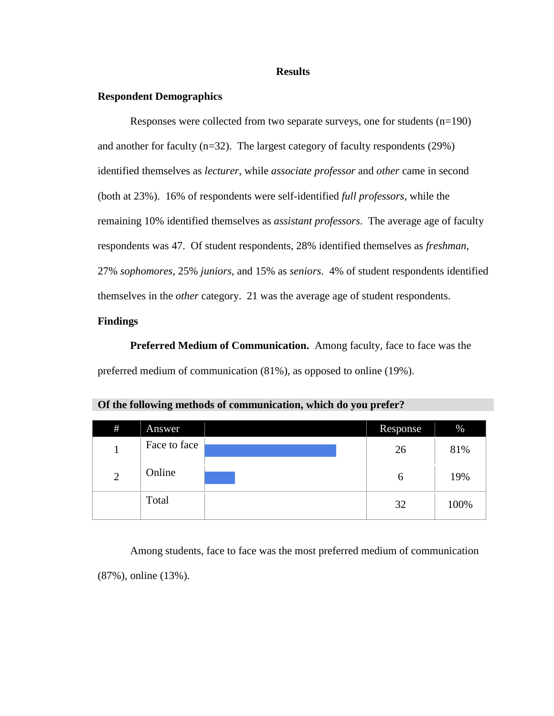#### **Results**

# **Respondent Demographics**

Responses were collected from two separate surveys, one for students (n=190) and another for faculty (n=32). The largest category of faculty respondents (29%) identified themselves as *lecturer*, while *associate professor* and *other* came in second (both at 23%). 16% of respondents were self-identified *full professors*, while the remaining 10% identified themselves as *assistant professors*. The average age of faculty respondents was 47. Of student respondents, 28% identified themselves as *freshman*, 27% *sophomores*, 25% *juniors*, and 15% as *seniors*. 4% of student respondents identified themselves in the *other* category. 21 was the average age of student respondents.

# **Findings**

**Preferred Medium of Communication.** Among faculty, face to face was the preferred medium of communication (81%), as opposed to online (19%).

| #              | Answer       | Response | $\%$ |
|----------------|--------------|----------|------|
| 1              | Face to face | 26       | 81%  |
| $\overline{2}$ | Online       | 6        | 19%  |
|                | Total        | 32       | 100% |

**Of the following methods of communication, which do you prefer?**

Among students, face to face was the most preferred medium of communication (87%), online (13%).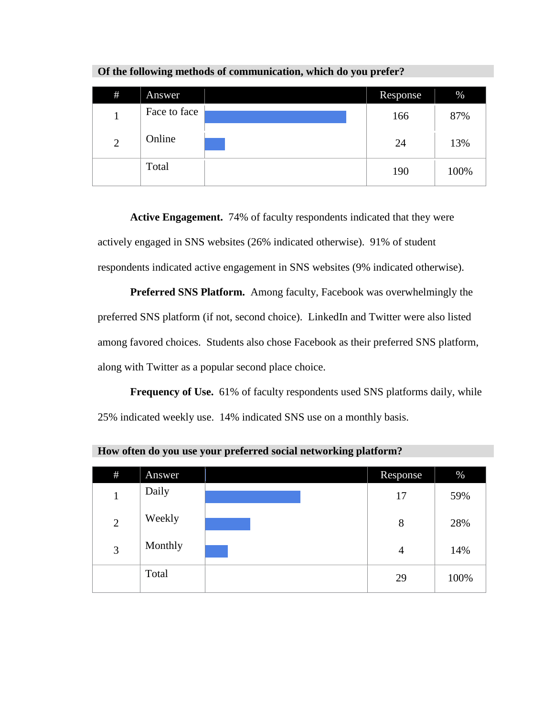| $\#$           | Answer       | Response | $\%$ |
|----------------|--------------|----------|------|
| 1              | Face to face | 166      | 87%  |
| $\overline{2}$ | Online       | 24       | 13%  |
|                | Total        | 190      | 100% |

**Of the following methods of communication, which do you prefer?**

**Active Engagement.** 74% of faculty respondents indicated that they were actively engaged in SNS websites (26% indicated otherwise). 91% of student respondents indicated active engagement in SNS websites (9% indicated otherwise).

**Preferred SNS Platform.** Among faculty, Facebook was overwhelmingly the preferred SNS platform (if not, second choice). LinkedIn and Twitter were also listed among favored choices. Students also chose Facebook as their preferred SNS platform, along with Twitter as a popular second place choice.

Frequency of Use. 61% of faculty respondents used SNS platforms daily, while 25% indicated weekly use. 14% indicated SNS use on a monthly basis.

| #              | Answer  | Response       | $\%$ |
|----------------|---------|----------------|------|
| 1              | Daily   | 17             | 59%  |
| $\mathfrak{2}$ | Weekly  | 8              | 28%  |
| 3              | Monthly | $\overline{4}$ | 14%  |
|                | Total   | 29             | 100% |

**How often do you use your preferred social networking platform?**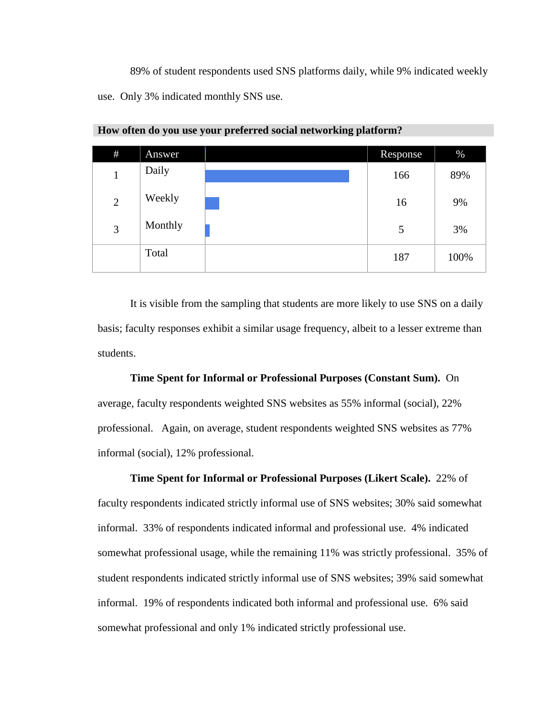89% of student respondents used SNS platforms daily, while 9% indicated weekly use. Only 3% indicated monthly SNS use.

| #              | Answer  | Response | $\%$ |
|----------------|---------|----------|------|
| $\mathbf{1}$   | Daily   | 166      | 89%  |
| $\overline{2}$ | Weekly  | 16       | 9%   |
| 3              | Monthly | 5        | 3%   |
|                | Total   | 187      | 100% |

**How often do you use your preferred social networking platform?**

It is visible from the sampling that students are more likely to use SNS on a daily basis; faculty responses exhibit a similar usage frequency, albeit to a lesser extreme than students.

**Time Spent for Informal or Professional Purposes (Constant Sum).** On

average, faculty respondents weighted SNS websites as 55% informal (social), 22% professional. Again, on average, student respondents weighted SNS websites as 77% informal (social), 12% professional.

**Time Spent for Informal or Professional Purposes (Likert Scale).** 22% of faculty respondents indicated strictly informal use of SNS websites; 30% said somewhat informal. 33% of respondents indicated informal and professional use. 4% indicated somewhat professional usage, while the remaining 11% was strictly professional. 35% of student respondents indicated strictly informal use of SNS websites; 39% said somewhat informal. 19% of respondents indicated both informal and professional use. 6% said somewhat professional and only 1% indicated strictly professional use.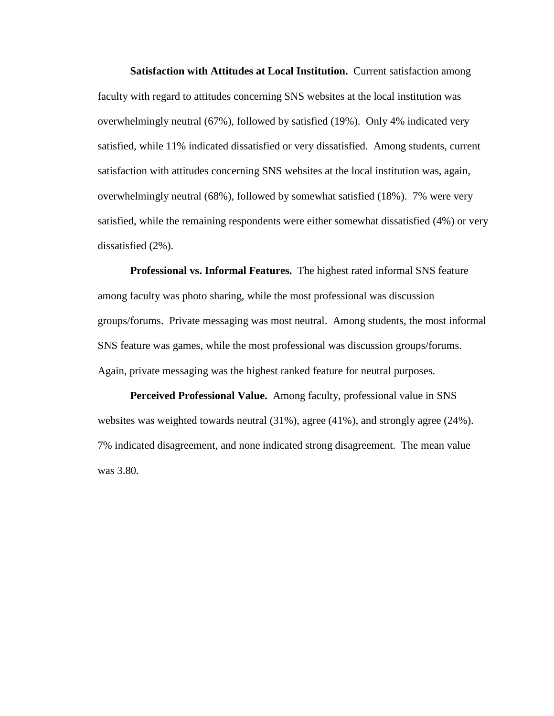**Satisfaction with Attitudes at Local Institution.** Current satisfaction among faculty with regard to attitudes concerning SNS websites at the local institution was overwhelmingly neutral (67%), followed by satisfied (19%). Only 4% indicated very satisfied, while 11% indicated dissatisfied or very dissatisfied. Among students, current satisfaction with attitudes concerning SNS websites at the local institution was, again, overwhelmingly neutral (68%), followed by somewhat satisfied (18%). 7% were very satisfied, while the remaining respondents were either somewhat dissatisfied (4%) or very dissatisfied (2%).

**Professional vs. Informal Features.** The highest rated informal SNS feature among faculty was photo sharing, while the most professional was discussion groups/forums. Private messaging was most neutral. Among students, the most informal SNS feature was games, while the most professional was discussion groups/forums. Again, private messaging was the highest ranked feature for neutral purposes.

**Perceived Professional Value.** Among faculty, professional value in SNS websites was weighted towards neutral (31%), agree (41%), and strongly agree (24%). 7% indicated disagreement, and none indicated strong disagreement. The mean value was 3.80.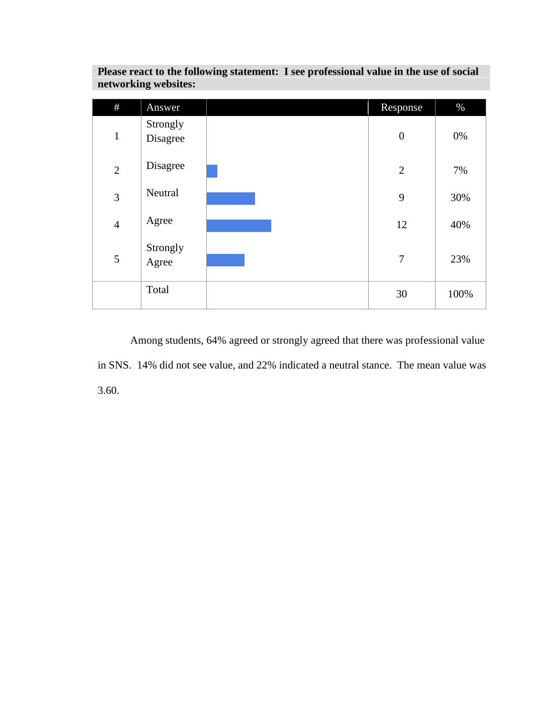| #              | Answer               | Response         | $\%$  |
|----------------|----------------------|------------------|-------|
| $\mathbf{1}$   | Strongly<br>Disagree | $\boldsymbol{0}$ | $0\%$ |
| $\overline{2}$ | Disagree             | $\overline{2}$   | 7%    |
| 3              | Neutral              | 9                | 30%   |
| $\overline{4}$ | Agree                | 12               | 40%   |
| 5              | Strongly<br>Agree    | $\overline{7}$   | 23%   |
|                | Total                | 30               | 100%  |

**Please react to the following statement: I see professional value in the use of social networking websites:**

Among students, 64% agreed or strongly agreed that there was professional value in SNS. 14% did not see value, and 22% indicated a neutral stance. The mean value was 3.60.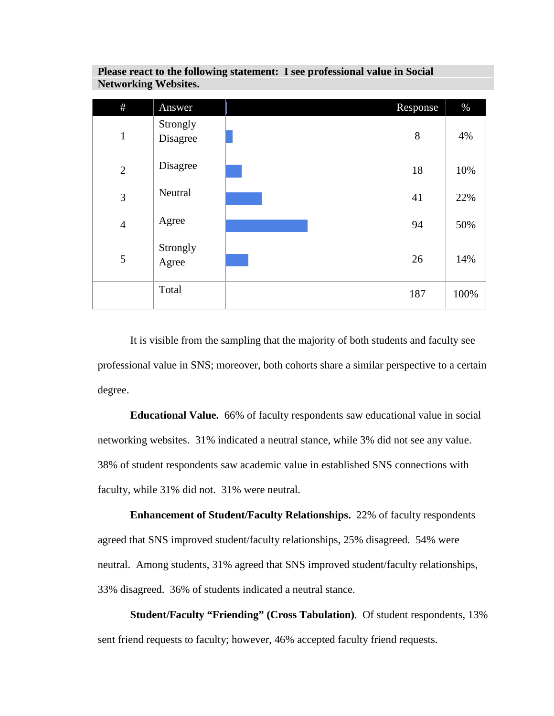| #              | Answer               | Response | $\%$ |
|----------------|----------------------|----------|------|
| $\mathbf{1}$   | Strongly<br>Disagree | 8        | 4%   |
| $\overline{2}$ | Disagree             | 18       | 10%  |
| 3              | Neutral              | 41       | 22%  |
| $\overline{4}$ | Agree                | 94       | 50%  |
| 5              | Strongly<br>Agree    | 26       | 14%  |
|                | Total                | 187      | 100% |

**Please react to the following statement: I see professional value in Social Networking Websites.**

It is visible from the sampling that the majority of both students and faculty see professional value in SNS; moreover, both cohorts share a similar perspective to a certain degree.

**Educational Value.** 66% of faculty respondents saw educational value in social networking websites. 31% indicated a neutral stance, while 3% did not see any value. 38% of student respondents saw academic value in established SNS connections with faculty, while 31% did not. 31% were neutral.

**Enhancement of Student/Faculty Relationships.** 22% of faculty respondents agreed that SNS improved student/faculty relationships, 25% disagreed. 54% were neutral. Among students, 31% agreed that SNS improved student/faculty relationships, 33% disagreed. 36% of students indicated a neutral stance.

**Student/Faculty "Friending" (Cross Tabulation)**. Of student respondents, 13% sent friend requests to faculty; however, 46% accepted faculty friend requests.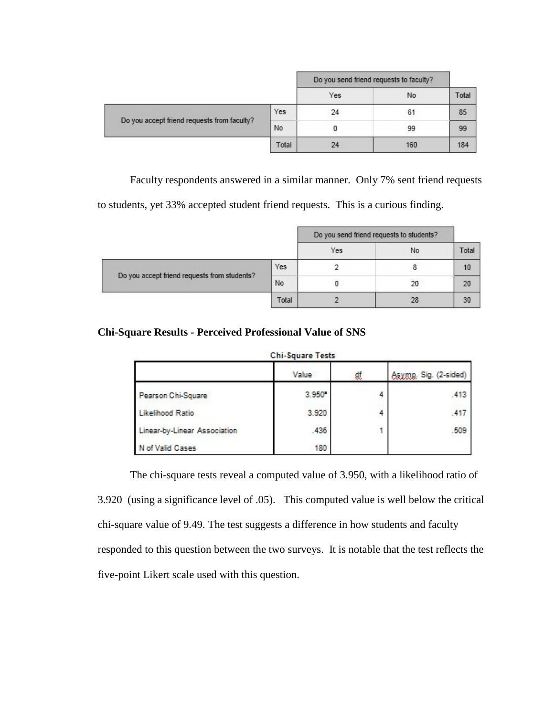|                                             |       | Do you send friend requests to faculty? |     |       |
|---------------------------------------------|-------|-----------------------------------------|-----|-------|
|                                             |       | Yes                                     | No. | Total |
| Do you accept friend requests from faculty? | Yes   | 24                                      | 61  | 85    |
|                                             | No    |                                         | 99  | 99    |
|                                             | Total | 24                                      | 160 | 184   |

Faculty respondents answered in a similar manner. Only 7% sent friend requests

to students, yet 33% accepted student friend requests. This is a curious finding.

|                                              |       | Do you send friend requests to students? |    |       |
|----------------------------------------------|-------|------------------------------------------|----|-------|
|                                              |       | Yes                                      | No | Total |
| Do you accept friend requests from students? | Yes   |                                          |    | 10    |
|                                              | No    |                                          | 20 | 20    |
|                                              | Total |                                          | 28 | 30    |

# **Chi-Square Results - Perceived Professional Value of SNS**

# Chi-Square Tests

|                              | <b>Value</b>    | ₫f | Asymp. Sig. (2-sided) |
|------------------------------|-----------------|----|-----------------------|
| Pearson Chi-Square           | $3.950^{\circ}$ |    | .413                  |
| Likelihood Ratio             | 3.920           |    | .417                  |
| Linear-by-Linear Association | .435            | 1  | 509                   |
| N of Valid Cases             | 180             |    |                       |

The chi-square tests reveal a computed value of 3.950, with a likelihood ratio of 3.920 (using a significance level of .05). This computed value is well below the critical chi-square value of 9.49. The test suggests a difference in how students and faculty responded to this question between the two surveys. It is notable that the test reflects the five-point Likert scale used with this question.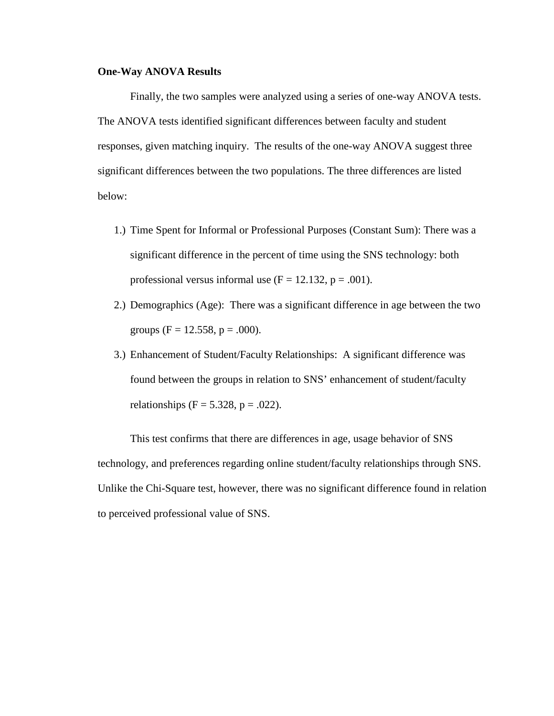# **One-Way ANOVA Results**

Finally, the two samples were analyzed using a series of one-way ANOVA tests. The ANOVA tests identified significant differences between faculty and student responses, given matching inquiry. The results of the one-way ANOVA suggest three significant differences between the two populations. The three differences are listed below:

- 1.) Time Spent for Informal or Professional Purposes (Constant Sum): There was a significant difference in the percent of time using the SNS technology: both professional versus informal use  $(F = 12.132, p = .001)$ .
- 2.) Demographics (Age): There was a significant difference in age between the two groups (F = 12.558, p = .000).
- 3.) Enhancement of Student/Faculty Relationships: A significant difference was found between the groups in relation to SNS' enhancement of student/faculty relationships (F = 5.328, p = .022).

This test confirms that there are differences in age, usage behavior of SNS technology, and preferences regarding online student/faculty relationships through SNS. Unlike the Chi-Square test, however, there was no significant difference found in relation to perceived professional value of SNS.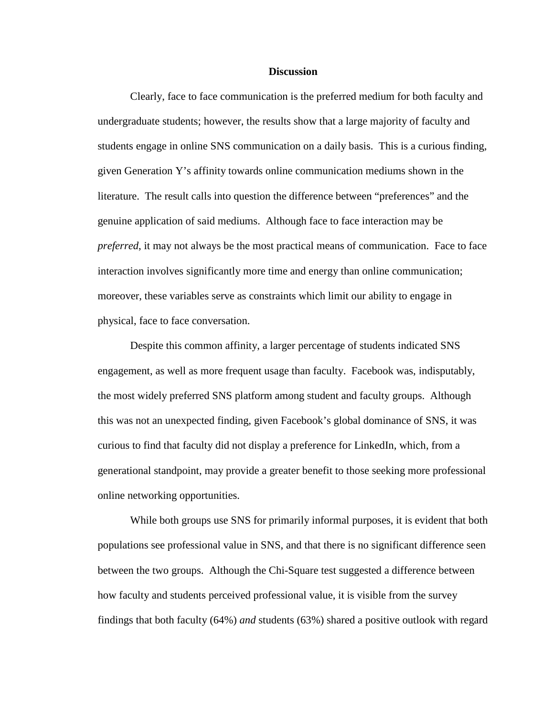#### **Discussion**

Clearly, face to face communication is the preferred medium for both faculty and undergraduate students; however, the results show that a large majority of faculty and students engage in online SNS communication on a daily basis. This is a curious finding, given Generation Y's affinity towards online communication mediums shown in the literature. The result calls into question the difference between "preferences" and the genuine application of said mediums. Although face to face interaction may be *preferred*, it may not always be the most practical means of communication. Face to face interaction involves significantly more time and energy than online communication; moreover, these variables serve as constraints which limit our ability to engage in physical, face to face conversation.

Despite this common affinity, a larger percentage of students indicated SNS engagement, as well as more frequent usage than faculty. Facebook was, indisputably, the most widely preferred SNS platform among student and faculty groups. Although this was not an unexpected finding, given Facebook's global dominance of SNS, it was curious to find that faculty did not display a preference for LinkedIn, which, from a generational standpoint, may provide a greater benefit to those seeking more professional online networking opportunities.

While both groups use SNS for primarily informal purposes, it is evident that both populations see professional value in SNS, and that there is no significant difference seen between the two groups. Although the Chi-Square test suggested a difference between how faculty and students perceived professional value, it is visible from the survey findings that both faculty (64%) *and* students (63%) shared a positive outlook with regard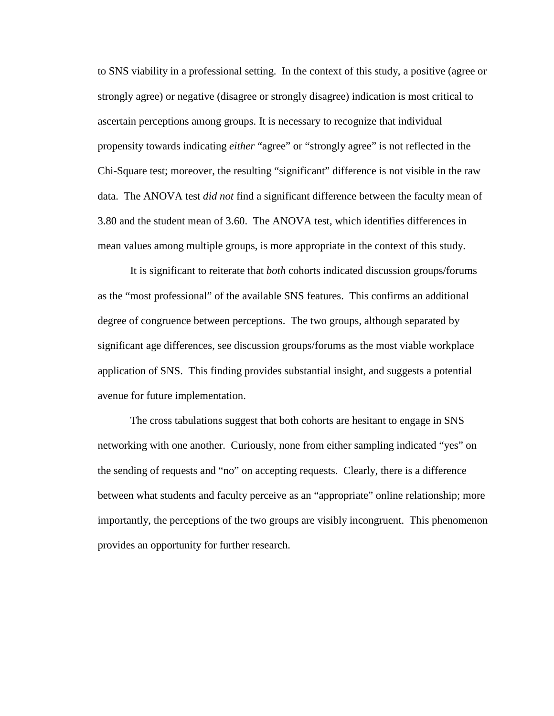to SNS viability in a professional setting. In the context of this study, a positive (agree or strongly agree) or negative (disagree or strongly disagree) indication is most critical to ascertain perceptions among groups. It is necessary to recognize that individual propensity towards indicating *either* "agree" or "strongly agree" is not reflected in the Chi-Square test; moreover, the resulting "significant" difference is not visible in the raw data. The ANOVA test *did not* find a significant difference between the faculty mean of 3.80 and the student mean of 3.60. The ANOVA test, which identifies differences in mean values among multiple groups, is more appropriate in the context of this study.

It is significant to reiterate that *both* cohorts indicated discussion groups/forums as the "most professional" of the available SNS features. This confirms an additional degree of congruence between perceptions. The two groups, although separated by significant age differences, see discussion groups/forums as the most viable workplace application of SNS. This finding provides substantial insight, and suggests a potential avenue for future implementation.

The cross tabulations suggest that both cohorts are hesitant to engage in SNS networking with one another. Curiously, none from either sampling indicated "yes" on the sending of requests and "no" on accepting requests. Clearly, there is a difference between what students and faculty perceive as an "appropriate" online relationship; more importantly, the perceptions of the two groups are visibly incongruent. This phenomenon provides an opportunity for further research.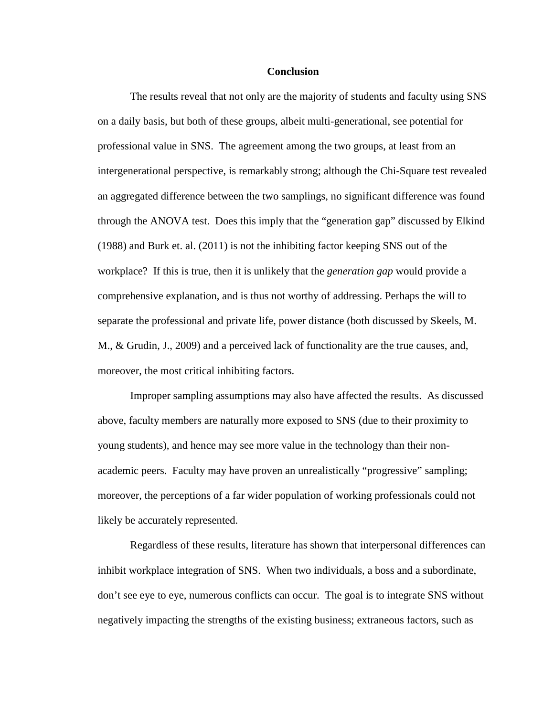#### **Conclusion**

The results reveal that not only are the majority of students and faculty using SNS on a daily basis, but both of these groups, albeit multi-generational, see potential for professional value in SNS. The agreement among the two groups, at least from an intergenerational perspective, is remarkably strong; although the Chi-Square test revealed an aggregated difference between the two samplings, no significant difference was found through the ANOVA test. Does this imply that the "generation gap" discussed by Elkind (1988) and Burk et. al. (2011) is not the inhibiting factor keeping SNS out of the workplace? If this is true, then it is unlikely that the *generation gap* would provide a comprehensive explanation, and is thus not worthy of addressing. Perhaps the will to separate the professional and private life, power distance (both discussed by Skeels, M. M., & Grudin, J., 2009) and a perceived lack of functionality are the true causes, and, moreover, the most critical inhibiting factors.

Improper sampling assumptions may also have affected the results. As discussed above, faculty members are naturally more exposed to SNS (due to their proximity to young students), and hence may see more value in the technology than their nonacademic peers. Faculty may have proven an unrealistically "progressive" sampling; moreover, the perceptions of a far wider population of working professionals could not likely be accurately represented.

Regardless of these results, literature has shown that interpersonal differences can inhibit workplace integration of SNS. When two individuals, a boss and a subordinate, don't see eye to eye, numerous conflicts can occur. The goal is to integrate SNS without negatively impacting the strengths of the existing business; extraneous factors, such as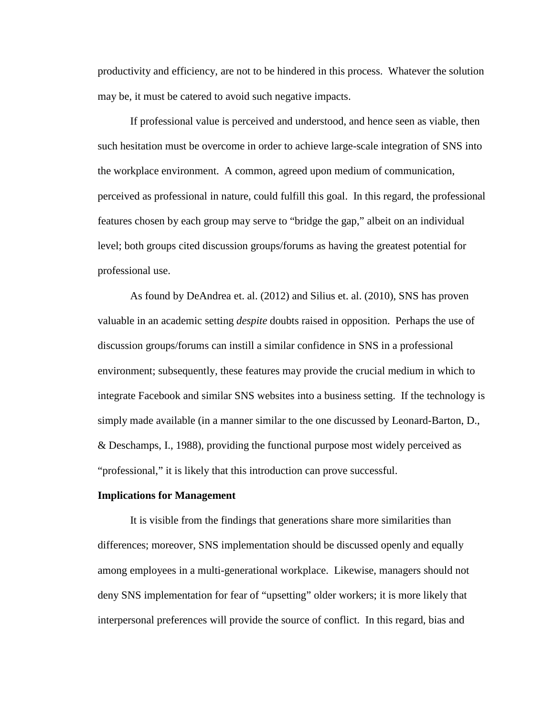productivity and efficiency, are not to be hindered in this process. Whatever the solution may be, it must be catered to avoid such negative impacts.

If professional value is perceived and understood, and hence seen as viable, then such hesitation must be overcome in order to achieve large-scale integration of SNS into the workplace environment. A common, agreed upon medium of communication, perceived as professional in nature, could fulfill this goal. In this regard, the professional features chosen by each group may serve to "bridge the gap," albeit on an individual level; both groups cited discussion groups/forums as having the greatest potential for professional use.

As found by DeAndrea et. al. (2012) and Silius et. al. (2010), SNS has proven valuable in an academic setting *despite* doubts raised in opposition. Perhaps the use of discussion groups/forums can instill a similar confidence in SNS in a professional environment; subsequently, these features may provide the crucial medium in which to integrate Facebook and similar SNS websites into a business setting. If the technology is simply made available (in a manner similar to the one discussed by Leonard-Barton, D., & Deschamps, I., 1988), providing the functional purpose most widely perceived as "professional," it is likely that this introduction can prove successful.

#### **Implications for Management**

It is visible from the findings that generations share more similarities than differences; moreover, SNS implementation should be discussed openly and equally among employees in a multi-generational workplace. Likewise, managers should not deny SNS implementation for fear of "upsetting" older workers; it is more likely that interpersonal preferences will provide the source of conflict. In this regard, bias and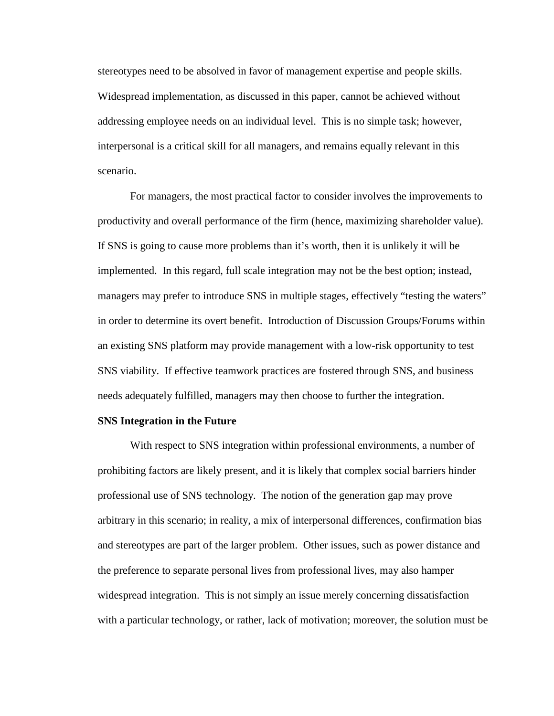stereotypes need to be absolved in favor of management expertise and people skills. Widespread implementation, as discussed in this paper, cannot be achieved without addressing employee needs on an individual level. This is no simple task; however, interpersonal is a critical skill for all managers, and remains equally relevant in this scenario.

For managers, the most practical factor to consider involves the improvements to productivity and overall performance of the firm (hence, maximizing shareholder value). If SNS is going to cause more problems than it's worth, then it is unlikely it will be implemented. In this regard, full scale integration may not be the best option; instead, managers may prefer to introduce SNS in multiple stages, effectively "testing the waters" in order to determine its overt benefit. Introduction of Discussion Groups/Forums within an existing SNS platform may provide management with a low-risk opportunity to test SNS viability. If effective teamwork practices are fostered through SNS, and business needs adequately fulfilled, managers may then choose to further the integration.

# **SNS Integration in the Future**

With respect to SNS integration within professional environments, a number of prohibiting factors are likely present, and it is likely that complex social barriers hinder professional use of SNS technology. The notion of the generation gap may prove arbitrary in this scenario; in reality, a mix of interpersonal differences, confirmation bias and stereotypes are part of the larger problem. Other issues, such as power distance and the preference to separate personal lives from professional lives, may also hamper widespread integration. This is not simply an issue merely concerning dissatisfaction with a particular technology, or rather, lack of motivation; moreover, the solution must be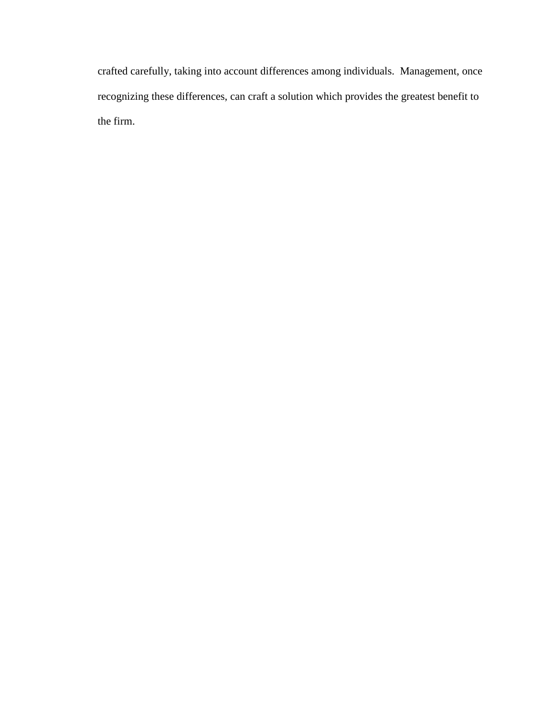crafted carefully, taking into account differences among individuals. Management, once recognizing these differences, can craft a solution which provides the greatest benefit to the firm.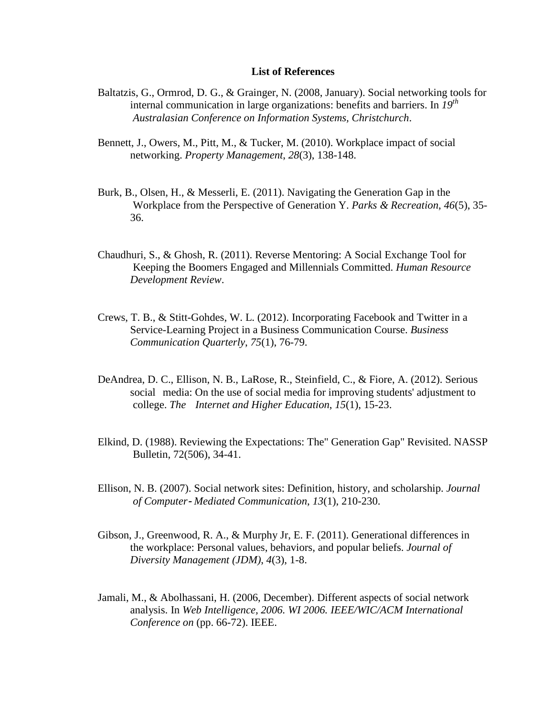#### **List of References**

- Baltatzis, G., Ormrod, D. G., & Grainger, N. (2008, January). Social networking tools for internal communication in large organizations: benefits and barriers. In *19th Australasian Conference on Information Systems, Christchurch*.
- Bennett, J., Owers, M., Pitt, M., & Tucker, M. (2010). Workplace impact of social networking. *Property Management*, *28*(3), 138-148.
- Burk, B., Olsen, H., & Messerli, E. (2011). Navigating the Generation Gap in the Workplace from the Perspective of Generation Y. *Parks & Recreation*, *46*(5), 35- 36.
- Chaudhuri, S., & Ghosh, R. (2011). Reverse Mentoring: A Social Exchange Tool for Keeping the Boomers Engaged and Millennials Committed. *Human Resource Development Review*.
- Crews, T. B., & Stitt-Gohdes, W. L. (2012). Incorporating Facebook and Twitter in a Service-Learning Project in a Business Communication Course. *Business Communication Quarterly*, *75*(1), 76-79.
- DeAndrea, D. C., Ellison, N. B., LaRose, R., Steinfield, C., & Fiore, A. (2012). Serious social media: On the use of social media for improving students' adjustment to college. *The Internet and Higher Education*, *15*(1), 15-23.
- Elkind, D. (1988). Reviewing the Expectations: The" Generation Gap" Revisited. NASSP Bulletin, 72(506), 34-41.
- Ellison, N. B. (2007). Social network sites: Definition, history, and scholarship. *Journal of Computer*‐ *Mediated Communication*, *13*(1), 210-230.
- Gibson, J., Greenwood, R. A., & Murphy Jr, E. F. (2011). Generational differences in the workplace: Personal values, behaviors, and popular beliefs. *Journal of Diversity Management (JDM)*, *4*(3), 1-8.
- Jamali, M., & Abolhassani, H. (2006, December). Different aspects of social network analysis. In *Web Intelligence, 2006. WI 2006. IEEE/WIC/ACM International Conference on* (pp. 66-72). IEEE.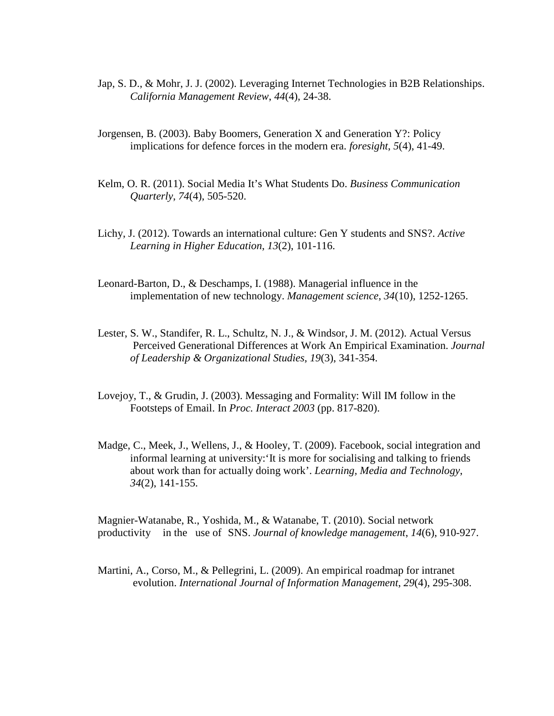- Jap, S. D., & Mohr, J. J. (2002). Leveraging Internet Technologies in B2B Relationships. *California Management Review*, *44*(4), 24-38.
- Jorgensen, B. (2003). Baby Boomers, Generation X and Generation Y?: Policy implications for defence forces in the modern era. *foresight*, *5*(4), 41-49.
- Kelm, O. R. (2011). Social Media It's What Students Do. *Business Communication Quarterly*, *74*(4), 505-520.
- Lichy, J. (2012). Towards an international culture: Gen Y students and SNS?. *Active Learning in Higher Education*, *13*(2), 101-116.
- Leonard-Barton, D., & Deschamps, I. (1988). Managerial influence in the implementation of new technology. *Management science*, *34*(10), 1252-1265.
- Lester, S. W., Standifer, R. L., Schultz, N. J., & Windsor, J. M. (2012). Actual Versus Perceived Generational Differences at Work An Empirical Examination. *Journal of Leadership & Organizational Studies*, *19*(3), 341-354.
- Lovejoy, T., & Grudin, J. (2003). Messaging and Formality: Will IM follow in the Footsteps of Email. In *Proc. Interact 2003* (pp. 817-820).
- Madge, C., Meek, J., Wellens, J., & Hooley, T. (2009). Facebook, social integration and informal learning at university:'It is more for socialising and talking to friends about work than for actually doing work'. *Learning, Media and Technology*, *34*(2), 141-155.

Magnier-Watanabe, R., Yoshida, M., & Watanabe, T. (2010). Social network productivity in the use of SNS. *Journal of knowledge management*, *14*(6), 910-927.

Martini, A., Corso, M., & Pellegrini, L. (2009). An empirical roadmap for intranet evolution. *International Journal of Information Management*, *29*(4), 295-308.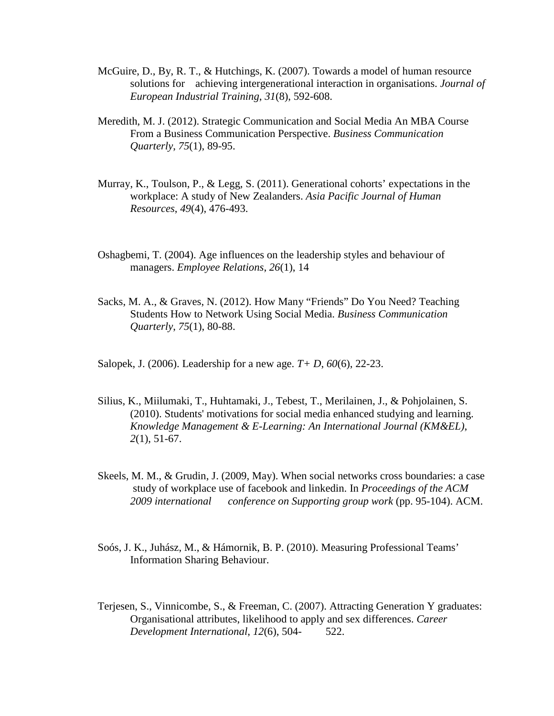- McGuire, D., By, R. T., & Hutchings, K. (2007). Towards a model of human resource solutions for achieving intergenerational interaction in organisations. *Journal of European Industrial Training*, *31*(8), 592-608.
- Meredith, M. J. (2012). Strategic Communication and Social Media An MBA Course From a Business Communication Perspective. *Business Communication Quarterly*, *75*(1), 89-95.
- Murray, K., Toulson, P., & Legg, S. (2011). Generational cohorts' expectations in the workplace: A study of New Zealanders. *Asia Pacific Journal of Human Resources*, *49*(4), 476-493.
- Oshagbemi, T. (2004). Age influences on the leadership styles and behaviour of managers. *Employee Relations*, *26*(1), 14
- Sacks, M. A., & Graves, N. (2012). How Many "Friends" Do You Need? Teaching Students How to Network Using Social Media. *Business Communication Quarterly*, *75*(1), 80-88.
- Salopek, J. (2006). Leadership for a new age. *T+ D*, *60*(6), 22-23.
- Silius, K., Miilumaki, T., Huhtamaki, J., Tebest, T., Merilainen, J., & Pohjolainen, S. (2010). Students' motivations for social media enhanced studying and learning. *Knowledge Management & E-Learning: An International Journal (KM&EL)*, *2*(1), 51-67.
- Skeels, M. M., & Grudin, J. (2009, May). When social networks cross boundaries: a case study of workplace use of facebook and linkedin. In *Proceedings of the ACM 2009 international conference on Supporting group work* (pp. 95-104). ACM.
- Soós, J. K., Juhász, M., & Hámornik, B. P. (2010). Measuring Professional Teams' Information Sharing Behaviour.
- Terjesen, S., Vinnicombe, S., & Freeman, C. (2007). Attracting Generation Y graduates: Organisational attributes, likelihood to apply and sex differences. *Career Development International*, *12*(6), 504- 522.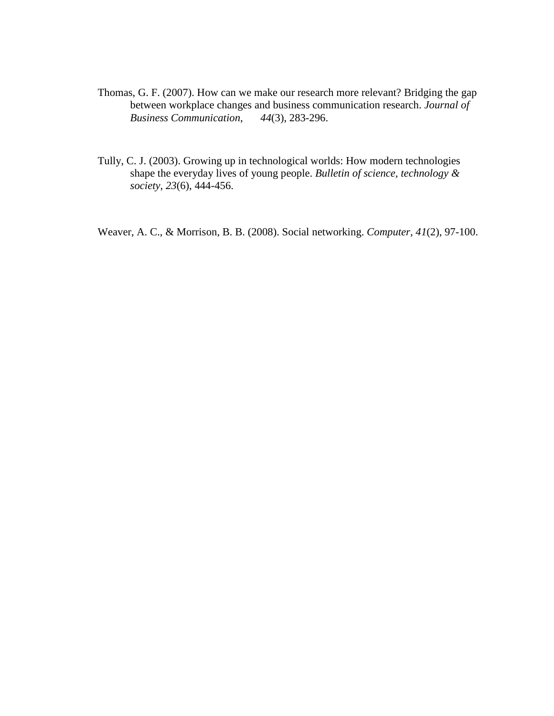- Thomas, G. F. (2007). How can we make our research more relevant? Bridging the gap between workplace changes and business communication research. *Journal of Business Communication*, *44*(3), 283-296.
- Tully, C. J. (2003). Growing up in technological worlds: How modern technologies shape the everyday lives of young people. *Bulletin of science, technology & society*, *23*(6), 444-456.

Weaver, A. C., & Morrison, B. B. (2008). Social networking. *Computer*, *41*(2), 97-100.